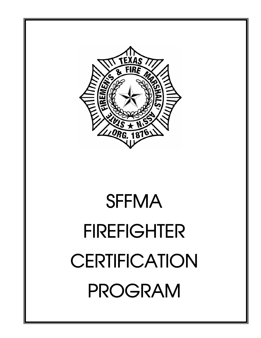

# **SFFMA** FIREFIGHTER **CERTIFICATION** PROGRAM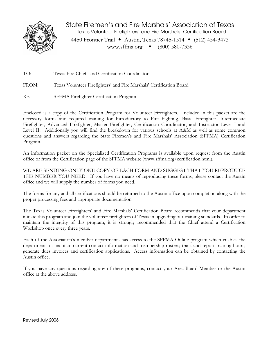

# State Firemen's and Fire Marshals' Association of Texas

Texas Volunteer Firefighters' and Fire Marshals' Certification Board

4450 Frontier Trail • Austin, Texas 78745-1514 • (512) 454-3473 www.sffma.org  $\bullet$  (800) 580-7336

TO: Texas Fire Chiefs and Certification Coordinators

FROM: Texas Volunteer Firefighters' and Fire Marshals' Certification Board

RE: SFFMA Firefighter Certification Program

Enclosed is a copy of the Certification Program for Volunteer Firefighters. Included in this packet are the necessary forms and required training for Introductory to Fire Fighting, Basic Firefighter, Intermediate Firefighter, Advanced Firefighter, Master Firefighter, Certification Coordinator, and Instructor Level I and Level II. Additionally you will find the breakdown for various schools at A&M as well as some common questions and answers regarding the State Firemen's and Fire Marshals' Association (SFFMA) Certification Program.

An information packet on the Specialized Certification Programs is available upon request from the Austin office or from the Certification page of the SFFMA website (www.sffma.org/certification.html).

WE ARE SENDING ONLY ONE COPY OF EACH FORM AND SUGGEST THAT YOU REPRODUCE THE NUMBER YOU NEED. If you have no means of reproducing these forms, please contact the Austin office and we will supply the number of forms you need.

The forms for any and all certifications should be returned to the Austin office upon completion along with the proper processing fees and appropriate documentation.

The Texas Volunteer Firefighters' and Fire Marshals' Certification Board recommends that your department initiate this program and join the volunteer firefighters of Texas in upgrading our training standards. In order to maintain the integrity of this program, it is strongly recommended that the Chief attend a Certification Workshop once every three years.

Each of the Association's member departments has access to the SFFMA Online program which enables the department to: maintain current contact information and membership rosters; track and report training hours; generate dues invoices and certification applications. Access information can be obtained by contacting the Austin office.

If you have any questions regarding any of these programs, contact your Area Board Member or the Austin office at the above address.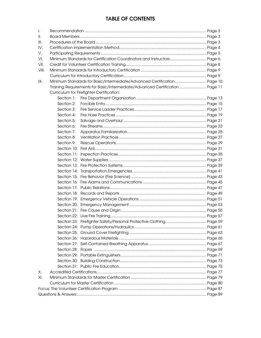# **TABLE OF CONTENTS**

| Τ.    |                                                                              |  |  |  |  |  |
|-------|------------------------------------------------------------------------------|--|--|--|--|--|
| Ш.    |                                                                              |  |  |  |  |  |
| III.  |                                                                              |  |  |  |  |  |
| IV.   |                                                                              |  |  |  |  |  |
| V.    |                                                                              |  |  |  |  |  |
| VI.   | Minimum Standards for Certification Coordinators and Instructors Page 6      |  |  |  |  |  |
| VII.  |                                                                              |  |  |  |  |  |
| VIII. |                                                                              |  |  |  |  |  |
|       |                                                                              |  |  |  |  |  |
| IX.   | Minimum Standards for Basic/Intermediate/Advanced Certification Page 10      |  |  |  |  |  |
|       | Training Requirements for Basic/Intermediate/Advanced Certification  Page 11 |  |  |  |  |  |
|       | Curriculum for Firefighter Certification:                                    |  |  |  |  |  |
|       | Section 1:                                                                   |  |  |  |  |  |
|       | Section 2:                                                                   |  |  |  |  |  |
|       | Section 3:                                                                   |  |  |  |  |  |
|       | Section 4:                                                                   |  |  |  |  |  |
|       | Section 5:                                                                   |  |  |  |  |  |
|       | Section 6:                                                                   |  |  |  |  |  |
|       | Section 7:                                                                   |  |  |  |  |  |
|       | Section 8:                                                                   |  |  |  |  |  |
|       | Section 9:                                                                   |  |  |  |  |  |
|       |                                                                              |  |  |  |  |  |
|       |                                                                              |  |  |  |  |  |
|       |                                                                              |  |  |  |  |  |
|       |                                                                              |  |  |  |  |  |
|       |                                                                              |  |  |  |  |  |
|       |                                                                              |  |  |  |  |  |
|       |                                                                              |  |  |  |  |  |
|       |                                                                              |  |  |  |  |  |
|       |                                                                              |  |  |  |  |  |
|       |                                                                              |  |  |  |  |  |
|       |                                                                              |  |  |  |  |  |
|       |                                                                              |  |  |  |  |  |
|       |                                                                              |  |  |  |  |  |
|       |                                                                              |  |  |  |  |  |
|       |                                                                              |  |  |  |  |  |
|       |                                                                              |  |  |  |  |  |
|       |                                                                              |  |  |  |  |  |
|       |                                                                              |  |  |  |  |  |
|       |                                                                              |  |  |  |  |  |
|       |                                                                              |  |  |  |  |  |
|       |                                                                              |  |  |  |  |  |
|       |                                                                              |  |  |  |  |  |
| Х.    |                                                                              |  |  |  |  |  |
| XI.   |                                                                              |  |  |  |  |  |
|       |                                                                              |  |  |  |  |  |
|       |                                                                              |  |  |  |  |  |
|       |                                                                              |  |  |  |  |  |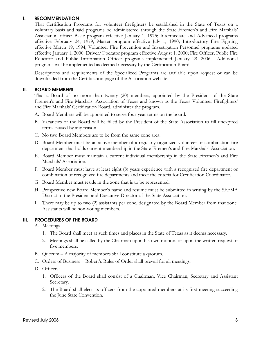#### **I. RECOMMENDATION**

That Certification Programs for volunteer firefighters be established in the State of Texas on a voluntary basis and said programs be administered through the State Firemen's and Fire Marshals' Association office: Basic program effective January 1, 1975; Intermediate and Advanced programs effective February 24, 1979; Master program effective July 1, 1990; Introductory Fire Fighting effective March 19, 1994; Volunteer Fire Prevention and Investigation Personnel programs updated effective January 1, 2000; Driver/Operator program effective August 1, 2000; Fire Officer, Public Fire Educator and Public Information Officer programs implemented January 28, 2006. Additional programs will be implemented as deemed necessary by the Certification Board.

Descriptions and requirements of the Specialized Programs are available upon request or can be downloaded from the Certification page of the Association website.

#### **II. BOARD MEMBERS**

That a Board of no more than twenty (20) members, appointed by the President of the State Firemen's and Fire Marshals' Association of Texas and known as the Texas Volunteer Firefighters' and Fire Marshals' Certification Board, administer the program.

- A. Board Members will be appointed to serve four-year terms on the board.
- B. Vacancies of the Board will be filled by the President of the State Association to fill unexpired terms caused by any reason.
- C. No two Board Members are to be from the same zone area.
- D. Board Member must be an active member of a regularly organized volunteer or combination fire department that holds current membership in the State Firemen's and Fire Marshals' Association.
- E. Board Member must maintain a current individual membership in the State Firemen's and Fire Marshals' Association.
- F. Board Member must have at least eight (8) years experience with a recognized fire department or combination of recognized fire departments and meet the criteria for Certification Coordinator.
- G. Board Member must reside in the zone that is to be represented.
- H. Prospective new Board Member's name and resume must be submitted in writing by the SFFMA District to the President and Executive Director of the State Association.
- I. There may be up to two (2) assistants per zone, designated by the Board Member from that zone. Assistants will be non-voting members.

#### **III. PROCEDURES OF THE BOARD**

- A. Meetings
	- 1. The Board shall meet at such times and places in the State of Texas as it deems necessary.
	- 2. Meetings shall be called by the Chairman upon his own motion, or upon the written request of five members.
- B. Quorum A majority of members shall constitute a quorum.
- C. Orders of Business Robert's Rules of Order shall prevail for all meetings.
- D. Officers:
	- 1. Officers of the Board shall consist of a Chairman, Vice Chairman, Secretary and Assistant Secretary.
	- 2. The Board shall elect its officers from the appointed members at its first meeting succeeding the June State Convention.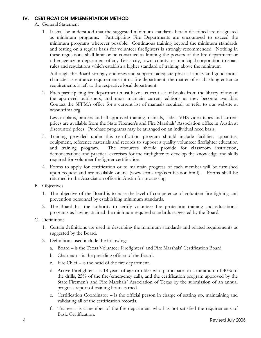#### **IV. CERTIFICATION IMPLEMENTATION METHOD**

- A. General Statement
	- 1. It shall be understood that the suggested minimum standards herein described are designated as minimum programs. Participating Fire Departments are encouraged to exceed the minimum programs wherever possible. Continuous training beyond the minimum standards and testing on a regular basis for volunteer firefighters is strongly recommended. Nothing in these regulations shall limit or be construed as limiting the powers of the fire department or other agency or department of any Texas city, town, county, or municipal corporation to enact rules and regulations which establish a higher standard of training above the minimum.

Although the Board strongly endorses and supports adequate physical ability and good moral character as entrance requirements into a fire department, the matter of establishing entrance requirements is left to the respective local department.

2. Each participating fire department must have a current set of books from the library of any of the approved publishers, and must maintain current editions as they become available. Contact the SFFMA office for a current list of manuals required, or refer to our website at www.sffma.org.

 Lesson plans, binders and all approved training manuals, slides, VHS video tapes and current prices are available from the State Firemen's and Fire Marshals' Association office in Austin at discounted prices. Purchase programs may be arranged on an individual need basis.

- 3. Training provided under this certification program should include facilities, apparatus, equipment, reference materials and records to support a quality volunteer firefighter education and training program. The resources should provide for classroom instruction, demonstrations and practical exercises for the firefighter to develop the knowledge and skills required for volunteer firefighter certification.
- 4. Forms to apply for certification or to maintain progress of each member will be furnished upon request and are available online (www.sffma.org/certification.html). Forms shall be returned to the Association office in Austin for processing.
- B. Objectives
	- 1. The objective of the Board is to raise the level of competence of volunteer fire fighting and prevention personnel by establishing minimum standards.
	- 2. The Board has the authority to certify volunteer fire protection training and educational programs as having attained the minimum required standards suggested by the Board.
- C. Definitions
	- 1. Certain definitions are used in describing the minimum standards and related requirements as suggested by the Board.
	- 2. Definitions used include the following:
		- a. Board is the Texas Volunteer Firefighters' and Fire Marshals' Certification Board.
		- b. Chairman is the presiding officer of the Board.
		- c. Fire Chief is the head of the fire department.
		- d. Active Firefighter is 18 years of age or older who participates in a minimum of 40% of the drills, 25% of the fire/emergency calls, and the certification program approved by the State Firemen's and Fire Marshals' Association of Texas by the submission of an annual progress report of training hours earned.
		- e. Certification Coordinator is the official person in charge of setting up, maintaining and validating all of the certification records.
		- f. Trainee is a member of the fire department who has not satisfied the requirements of Basic Certification.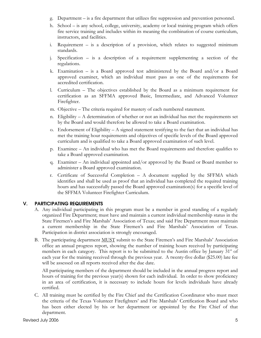- g. Department is a fire department that utilizes fire suppression and prevention personnel.
- h. School is any school, college, university, academy or local training program which offers fire service training and includes within its meaning the combination of course curriculum, instructors, and facilities.
- i. Requirement is a description of a provision, which relates to suggested minimum standards.
- j. Specification is a description of a requirement supplementing a section of the regulations.
- k. Examination is a Board approved test administered by the Board and/or a Board approved examiner, which an individual must pass as one of the requirements for accredited certification.
- l. Curriculum The objectives established by the Board as a minimum requirement for certification as an SFFMA approved Basic, Intermediate, and Advanced Volunteer Firefighter.
- m. Objective The criteria required for mastery of each numbered statement.
- n. Eligibility  $A$  determination of whether or not an individual has met the requirements set by the Board and would therefore be allowed to take a Board examination.
- o. Endorsement of Eligibility  $-A$  signed statement testifying to the fact that an individual has met the training hour requirements and objectives of specific levels of the Board approved curriculum and is qualified to take a Board approved examination of such level.
- p. Examinee An individual who has met the Board requirements and therefore qualifies to take a Board approved examination.
- q. Examiner An individual appointed and/or approved by the Board or Board member to administer a Board approved examination.
- r. Certificate of Successful Completion A document supplied by the SFFMA which identifies and shall be used as proof that an individual has completed the required training hours and has successfully passed the Board approved examination(s) for a specific level of the SFFMA Volunteer Firefighter Curriculum.

#### **V. PARTICIPATING REQUIREMENTS**

- A. Any individual participating in this program must be a member in good standing of a regularly organized Fire Department; must have and maintain a current individual membership status in the State Firemen's and Fire Marshals' Association of Texas; and said Fire Department must maintain a current membership in the State Firemen's and Fire Marshals' Association of Texas. Participation in district association is strongly encouraged.
- B. The participating department MUST submit to the State Firemen's and Fire Marshals' Association office an annual progress report, showing the number of training hours received by participating members in each category. This report is to be submitted to the Austin office by January  $31<sup>st</sup>$  of each year for the training received through the previous year. A twenty-five dollar (\$25.00) late fee will be assessed on all reports received after the due date.

All participating members of the department should be included in the annual progress report and hours of training for the previous year(s) shown for each individual. In order to show proficiency in an area of certification, it is necessary to include hours for levels individuals have already certified.

C. All training must be certified by the Fire Chief and the Certification Coordinator who must meet the criteria of the Texas Volunteer Firefighters' and Fire Marshals' Certification Board and who has been either elected by his or her department or appointed by the Fire Chief of that department.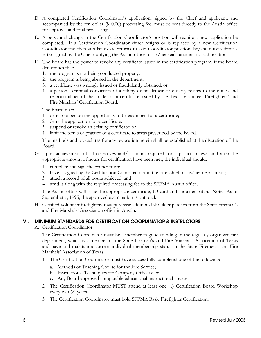- D. A completed Certification Coordinator's application, signed by the Chief and applicant, and accompanied by the ten dollar (\$10.00) processing fee, must be sent directly to the Austin office for approval and final processing.
- E. A personnel change in the Certification Coordinator's position will require a new application be completed. If a Certification Coordinator either resigns or is replaced by a new Certification Coordinator and then at a later date returns to said Coordinator position, he/she must submit a letter signed by the Chief notifying the Austin office of his/her reinstatement to said position.
- F. The Board has the power to revoke any certificate issued in the certification program, if the Board determines that:
	- 1. the program is not being conducted properly;
	- 2. the program is being abused in the department;
	- 3. a certificate was wrongly issued or fraudulently obtained; or
	- 4. a person's criminal conviction of a felony or misdemeanor directly relates to the duties and responsibilities of the holder of a certificate issued by the Texas Volunteer Firefighters' and Fire Marshals' Certification Board.

The Board may:

- 1. deny to a person the opportunity to be examined for a certificate;
- 2. deny the application for a certificate;
- 3. suspend or revoke an existing certificate; or
- 4. limit the terms or practice of a certificate to areas prescribed by the Board.

The methods and procedures for any revocation herein shall be established at the discretion of the Board.

- G. Upon achievement of all objectives and/or hours required for a particular level and after the appropriate amount of hours for certification have been met, the individual should:
	- 1. complete and sign the proper form;
	- 2. have it signed by the Certification Coordinator and the Fire Chief of his/her department;
	- 3. attach a record of all hours achieved; and
	- 4. send it along with the required processing fee to the SFFMA Austin office.

The Austin office will issue the appropriate certificate, ID card and shoulder patch. Note: As of September 1, 1995, the approved examination is optional.

H. Certified volunteer firefighters may purchase additional shoulder patches from the State Firemen's and Fire Marshals' Association office in Austin.

#### **VI. MINIMUM STANDARDS FOR CERTIFICATION COORDINATOR & INSTRUCTORS**

A. Certification Coordinator

The Certification Coordinator must be a member in good standing in the regularly organized fire department, which is a member of the State Firemen's and Fire Marshals' Association of Texas and have and maintain a current individual membership status in the State Firemen's and Fire Marshals' Association of Texas.

- 1. The Certification Coordinator must have successfully completed one of the following:
	- a. Methods of Teaching Course for the Fire Service;
	- b. Instructional Techniques for Company Officers; or
	- c. Any Board approved comparable educational instructional course
- 2. The Certification Coordinator MUST attend at least one (1) Certification Board Workshop every two (2) years.
- 3. The Certification Coordinator must hold SFFMA Basic Firefighter Certification.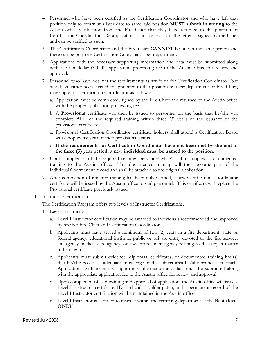- 4. Personnel who have been certified as the Certification Coordinator and who have left that position only to return at a later date to same said position **MUST submit in writing** to the Austin office verification from the Fire Chief that they have returned to the position of Certification Coordinator. Re-application is not necessary if the letter is signed by the Chief and can be verified as such.
- 5. The Certification Coordinator and the Fire Chief **CANNOT** be one in the same person and there can be only one Certification Coordinator per department.
- 6. Applications with the necessary supporting information and data must be submitted along with the ten dollar (\$10.00) application processing fee to the Austin office for review and approval.
- 7. Personnel who have not met the requirements as set forth for Certification Coordinator, but who have either been elected or appointed to that position by their department or Fire Chief, may apply for Certification Coordinator as follows:
	- a. Application must be completed, signed by the Fire Chief and returned to the Austin office with the proper application processing fee.
	- b. A **Provisional** certificate will then be issued to personnel on the basis that he/she will complete **ALL** of the required training within three (3) years of the issuance of the provisional certificate.
	- c. Provisional Certification Coordinator certificate holders shall attend a Certification Board workshop **every year** of their provisional status.
	- d. **If the requirements for Certification Coordinator have not been met by the end of the three (3) year period, a new individual must be named to the position.**
- 8. Upon completion of the required training, personnel MUST submit copies of documented training to the Austin office. This documented training will then become part of the individuals' permanent record and shall be attached to the original application.
- 9. After completion of required training has been duly verified, a new Certification Coordinator certificate will be issued by the Austin office to said personnel. This certificate will replace the Provisional certificate previously issued.
- B. Instructor Certification

The Certification Program offers two levels of Instructor Certifications.

- 1. Level I Instructor
	- a. Level I Instructor certification may be awarded to individuals recommended and approved by his/her Fire Chief and Certification Coordinator.
	- b. Applicants must have served a minimum of two (2) years in a fire department, state or federal agency, educational institute, public or private entity devoted to the fire service, emergency medical care agency, or law enforcement agency relating to the subject matter to be taught.
	- c. Applicants must submit evidence (diplomas, certificates, or documented training hours) that he/she possesses adequate knowledge of the subject area he/she proposes to teach. Applications with necessary supporting information and data must be submitted along with the appropriate application fee to the Austin office for review and approval.
	- d. Upon completion of said training and approval of application, the Austin office will issue a Level I Instructor certificate, ID card and shoulder patch, and a permanent record of the Level I Instructor certification will be maintained in the Austin office.
	- e. Level I Instructor is certified to instruct within the certifying department at the **Basic level ONLY**.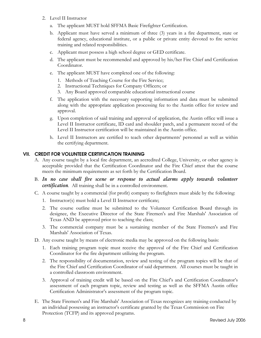- 2. Level II Instructor
	- a. The applicant MUST hold SFFMA Basic Firefighter Certification.
	- b. Applicant must have served a minimum of three (3) years in a fire department, state or federal agency, educational institute, or a public or private entity devoted to fire service training and related responsibilities.
	- c. Applicant must possess a high school degree or GED certificate.
	- d. The applicant must be recommended and approved by his/her Fire Chief and Certification Coordinator.
	- e. The applicant MUST have completed one of the following:
		- 1. Methods of Teaching Course for the Fire Service;
		- 2. Instructional Techniques for Company Officers; or
		- 3. Any Board approved comparable educational instructional course
	- f. The application with the necessary supporting information and data must be submitted along with the appropriate application processing fee to the Austin office for review and approval.
	- g. Upon completion of said training and approval of application, the Austin office will issue a Level II Instructor certificate, ID card and shoulder patch, and a permanent record of the Level II Instructor certification will be maintained in the Austin office.
	- h. Level II Instructors are certified to teach other departments' personnel as well as within the certifying department.

## **VII. CREDIT FOR VOLUNTEER CERTIFICATION TRAINING**

- A. Any course taught by a local fire department, an accredited College, University, or other agency is acceptable provided that the Certification Coordinator and the Fire Chief attest that the course meets the minimum requirements as set forth by the Certification Board.
- B. In no case shall fire scene or response to actual alarms apply towards volunteer *certification.* All training shall be in a controlled environment.
- C. A course taught by a commercial (for profit) company to firefighters must abide by the following:
	- 1. Instructor(s) must hold a Level II Instructor certificate;
	- 2. The course outline must be submitted to the Volunteer Certification Board through its designee, the Executive Director of the State Firemen's and Fire Marshals' Association of Texas AND be approved prior to teaching the class;
	- 3. The commercial company must be a sustaining member of the State Firemen's and Fire Marshals' Association of Texas.
- D. Any course taught by means of electronic media may be approved on the following basis:
	- 1. Each training program topic must receive the approval of the Fire Chief and Certification Coordinator for the fire department utilizing the program.
	- 2. The responsibility of documentation, review and testing of the program topics will be that of the Fire Chief and Certification Coordinator of said department. All courses must be taught in a controlled classroom environment.
	- 3. Approval of training credit will be based on the Fire Chief's and Certification Coordinator's assessment of each program topic, review and testing as well as the SFFMA Austin office Certification Administrator's assessment of the program topic.
- E. The State Firemen's and Fire Marshals' Association of Texas recognizes any training conducted by an individual possessing an instructor's certificate granted by the Texas Commission on Fire Protection (TCFP) and its approved programs.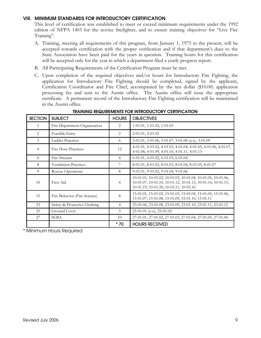#### **VIII. MINIMUM STANDARDS FOR INTRODUCTORY CERTIFICATION**

This level of certification was established to meet or exceed minimum requirements under the 1992 edition of NFPA 1403 for the novice firefighter, and to ensure training objectives for "Live Fire Training".

- A. Training, meeting all requirements of this program, from January 1, 1975 to the present, will be accepted towards certification with the proper verification and if that department's dues to the State Association have been paid for the years in question. Training hours for this certification will be accepted only for the year in which a department filed a yearly progress report.
- B. All Participating Requirements of the Certification Program must be met.
- C. Upon completion of the required objectives and/or hours for Introductory Fire Fighting, the application for Introductory Fire Fighting should be completed, signed by the applicant, Certification Coordinator and Fire Chief, accompanied by the ten dollar (\$10.00) application processing fee and sent to the Austin office. The Austin office will issue the appropriate certificate. A permanent record of the Introductory Fire Fighting certification will be maintained in the Austin office.

| <b>SECTION</b> | <b>SUBJECT</b>                                                       | <b>HOURS</b>   | <b>OBJECTIVES</b>                                                                                                                                                    |
|----------------|----------------------------------------------------------------------|----------------|----------------------------------------------------------------------------------------------------------------------------------------------------------------------|
| 1              | Fire Department Organization                                         | 2              | 1-01.01, 1-01.02, 1-01.03                                                                                                                                            |
| 2              | Forcible Entry                                                       | 2              | 2-01.01, 2-01.02                                                                                                                                                     |
| 3              | <b>Ladder Practices</b>                                              | 6              | $3-01.01$ , $3-01.06$ , $3-01.07$ , $3-01.08$ (a-c), $3-01.09$                                                                                                       |
| $\overline{4}$ | Fire Hose Practices                                                  | 12             | 4-01.01, 4-01.02, 4-01.03, 4-01.04, 4-01.05, 4-01.06, 4-01.07,<br>4-01.08, 4-01.09, 4-01.10, 4-01.11, 4-01.13                                                        |
| 6              | 6-01.01, 6-01.02, 6-01.03, 6-01.04<br>Fire Streams<br>$\overline{4}$ |                |                                                                                                                                                                      |
| 8              | <b>Ventilation Practices</b>                                         | 7              | 8-01.01, 8-01.02, 8-01.03, 8-01.04, 8-01.05, 8-01.07                                                                                                                 |
| 9              | Rescue Operations                                                    | 8              | $9-01.01$ , $9-01.02$ , $9-01.04$ , $9-01.06$                                                                                                                        |
| 10             | First Aid                                                            | $\overline{4}$ | 10-01.01, 10-01.02, 10-01.03, 10-01.04, 10-01.05, 10-01.06,<br>10-01.07, 10-01.10, 10-01.12, 10-01.13, 10-01.14, 10-01.15,<br>10-01.19, 10-01.20, 10-03.11, 10-03.16 |
| 15             | Fire Behavior (Fire Science)                                         | 8              | 15-01.01, 15-01.02, 15-01.03, 15-01.04, 15-01.05, 15-01.06,<br>15-01.07, 15-01.08, 15-01.09, 15-01.10, 15-01.11                                                      |
| 23             | Safety & Protective Clothing                                         | $\overline{4}$ | 23-01.06, 23-01.08, 23-01.09, 23-01.10, 23-01.11, 23-01.12                                                                                                           |
| 25             | Ground Cover                                                         | 3              | $25-01.01$ (a-o), $25-01.02$                                                                                                                                         |
| 27             | <b>SCBA</b>                                                          | 10             | 27-01.01, 27-01.02, 27-01.03, 27-01.04, 27-01.05, 27-01.06                                                                                                           |
|                |                                                                      | * 70           | <b>HOURS RECEIVED</b>                                                                                                                                                |

#### **TRAINING REQUIREMENTS FOR INTRODUCTORY CERTIFICATION**

\* Minimum Hours Required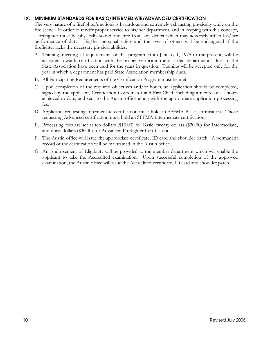#### **IX. MINIMUM STANDARDS FOR BASIC/INTERMEDIATE/ADVANCED CERTIFICATION**

The very nature of a firefighter's actions is hazardous and extremely exhausting physically while on the fire scene. In order to render proper service to his/her department, and in keeping with this concept, a firefighter must be physically sound and free from any defect which may adversely affect his/her performance of duty. His/her personal safety and the lives of others will be endangered if the firefighter lacks the necessary physical abilities.

- A. Training, meeting all requirements of this program, from January 1, 1975 to the present, will be accepted towards certification with the proper verification and if that department's dues to the State Association have been paid for the years in question. Training will be accepted only for the year in which a department has paid State Association membership dues.
- B. All Participating Requirements of the Certification Program must be met.
- C. Upon completion of the required objectives and/or hours, an application should be completed, signed by the applicant, Certification Coordinator and Fire Chief, including a record of all hours achieved to date, and sent to the Austin office along with the appropriate application processing fee.
- D. Applicants requesting Intermediate certification must hold an SFFMA Basic certification. Those requesting Advanced certification must hold an SFFMA Intermediate certification.
- E. Processing fees are set at ten dollars (\$10.00) for Basic, twenty dollars (\$20.00) for Intermediate, and thirty dollars (\$30.00) for Advanced Firefighter Certification.
- F. The Austin office will issue the appropriate certificate, ID card and shoulder patch. A permanent record of the certification will be maintained in the Austin office.
- G. An Endorsement of Eligibility will be provided to the member department which will enable the applicant to take the Accredited examination. Upon successful completion of the approved examination, the Austin office will issue the Accredited certificate, ID card and shoulder patch.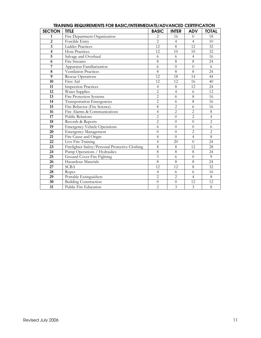| <b>SECTION</b>          | <b>TITLE</b>                                    | <b>BASIC</b>            | <b>INTER</b>     | <b>ADV</b>     | <b>TOTAL</b>   |
|-------------------------|-------------------------------------------------|-------------------------|------------------|----------------|----------------|
| 1                       | Fire Department Organization                    | $\overline{c}$          | 16               | $\Omega$       | 18             |
| $\overline{2}$          | Forcible Entry                                  | $\overline{2}$          | $\overline{4}$   | $\overline{4}$ | 10             |
| $\overline{\mathbf{3}}$ | <b>Ladder Practices</b>                         | 12                      | 8                | 12             | 32             |
| $\overline{\mathbf{4}}$ | <b>Hose Practices</b>                           | 12                      | 10               | 10             | 32             |
| $\overline{5}$          | Salvage and Overhaul                            | 6                       | 6                | $\overline{4}$ | 16             |
| 6                       | Fire Streams                                    | 8                       | 8                | 8              | 24             |
| 7                       | Apparatus Familiarization                       | 6                       | $\boldsymbol{0}$ | $\theta$       | 6              |
| 8                       | Ventilation Practices                           | $\,8\,$                 | $\,8\,$          | 8              | 24             |
| 9                       | <b>Rescue Operations</b>                        | 12                      | 18               | 14             | 44             |
| 10                      | First Aid                                       | 12                      | 12               | 16             | 40             |
| 11                      | <b>Inspection Practices</b>                     | 4                       | $\,8\,$          | 12             | 24             |
| 12                      | Water Supplies                                  | $\overline{c}$          | $\overline{4}$   | 6              | 12             |
| 13                      | <b>Fire Protection Systems</b>                  | $\overline{c}$          | 6                | 8              | 16             |
| 14                      | Transportation Emergencies                      | $\overline{2}$          | 6                | $\overline{8}$ | 16             |
| 15                      | Fire Behavior (Fire Science)                    | 8                       | $\overline{2}$   | 6              | 16             |
| 16                      | Fire Alarms & Communications                    | $\overline{4}$          | $\overline{c}$   | $\overline{2}$ | 8              |
| 17                      | <b>Public Relations</b>                         | $\overline{2}$          | $\overline{0}$   | $\overline{2}$ | $\overline{4}$ |
| 18                      | Records & Reports                               | $\overline{2}$          | $\overline{0}$   | $\theta$       | $\overline{2}$ |
| 19                      | <b>Emergency Vehicle Operations</b>             | 6                       | $\overline{0}$   | $\overline{0}$ | 6              |
| 20                      | <b>Emergency Management</b>                     | $\overline{0}$          | $\boldsymbol{0}$ | $\overline{2}$ | $\overline{2}$ |
| 21                      | Fire Cause and Origin                           | $\overline{4}$          | $\overline{0}$   | $\overline{4}$ | 8              |
| 22                      | Live Fire Training                              | $\overline{4}$          | 20               | $\Omega$       | 24             |
| 23                      | Firefighter Safety/Personal Protective Clothing | $\overline{8}$          | 8                | 12             | 28             |
| 24                      | Pump Operations / Hydraulics                    | 8                       | 8                | 8              | 24             |
| 25                      | Ground Cover Fire Fighting                      | $\overline{\mathbf{3}}$ | 6                | $\theta$       | $\overline{9}$ |
| 26                      | Hazardous Materials                             | $\overline{8}$          | $\overline{8}$   | $\overline{8}$ | 24             |
| 27                      | <b>SCBA</b>                                     | 12                      | 12               | 8              | 32             |
| 28                      | Ropes                                           | $\overline{4}$          | 6                | 6              | 16             |
| 29                      | Portable Extinguishers                          | $\overline{2}$          | $\overline{2}$   | $\overline{4}$ | 8              |
| 30                      | <b>Building Construction</b>                    | $\theta$                | $\boldsymbol{0}$ | 12             | 12             |
| 31                      | Public Fire Education                           | $\overline{2}$          | $\overline{3}$   | $\overline{3}$ | 8              |

#### **TRAINING REQUIREMENTS FOR BASIC/INTERMEDIATE/ADVANCED CERTIFICATION**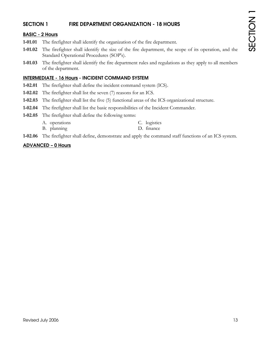# **SECTION 1 FIRE DEPARTMENT ORGANIZATION - 18 HOURS**

#### **BASIC - 2 Hours**

- **1-01.01** The firefighter shall identify the organization of the fire department.
- **1-01.02** The firefighter shall identify the size of the fire department, the scope of its operation, and the Standard Operational Procedures (SOP's).
- **1-01.03** The firefighter shall identify the fire department rules and regulations as they apply to all members of the department.

#### **INTERMEDIATE - 16 Hours - INCIDENT COMMAND SYSTEM**

- **1-02.01** The firefighter shall define the incident command system (ICS).
- **1-02.02** The firefighter shall list the seven (7) reasons for an ICS.
- **1-02.03** The firefighter shall list the five (5) functional areas of the ICS organizational structure.
- **1-02.04** The firefighter shall list the basic responsibilities of the Incident Commander.
- **1-02.05** The firefighter shall define the following terms:
	- A. operations C. logistics
	- B. planning D. finance
- **1-02.06** The firefighter shall define, demonstrate and apply the command staff functions of an ICS system.

#### **ADVANCED – 0 Hours**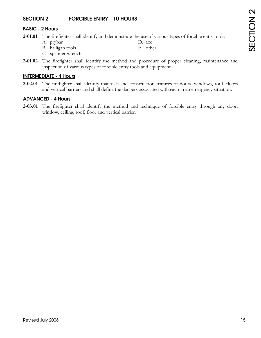# **SECTION 2 FORCIBLE ENTRY - 10 HOURS**

#### **BASIC - 2 Hours**

- **2-01.01** The firefighter shall identify and demonstrate the use of various types of forcible entry tools:
	- A. prybar D. axe
		-
	- B. halligan tools E. other
	- C. spanner wrench
- **2-01.02** The firefighter shall identify the method and procedure of proper cleaning, maintenance and inspection of various types of forcible entry tools and equipment.

## **INTERMEDIATE - 4 Hours**

**2-02.01** The firefighter shall identify materials and construction features of doors, windows, roof, floors and vertical barriers and shall define the dangers associated with each in an emergency situation.

#### **ADVANCED - 4 Hours**

**2-03.01** The firefighter shall identify the method and technique of forcible entry through any door, window, ceiling, roof, floor and vertical barrier.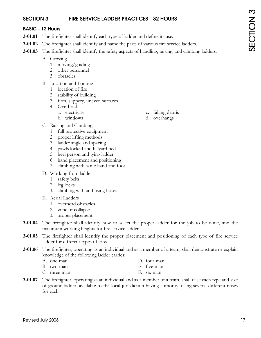# **SECTION 3 FIRE SERVICE LADDER PRACTICES - 32 HOURS**

#### **BASIC - 12 Hours**

- **3-01.01** The firefighter shall identify each type of ladder and define its use.
- **3-01.02** The firefighter shall identify and name the parts of various fire service ladders.
- **3-01.03** The firefighter shall identify the safety aspects of handling, raising, and climbing ladders:
	- A. Carrying
		- 1. moving/guiding
		- 2. other personnel
		- 3. obstacles
	- B. Location and Footing
		- 1. location of fire
		- 2. stability of building
		- 3. firm, slippery, uneven surfaces
		- 4. Overhead:
			-
			-
	- C. Raising and Climbing
		- 1. full protective equipment
		- 2. proper lifting methods
		- 3. ladder angle and spacing
		- 4. pawls locked and halyard tied
		- 5. heel person and tying ladder
		- 6. hand placement and positioning
		- 7. climbing with same hand and foot
	- D. Working from ladder
		- 1. safety belts
		- 2. leg locks
		- 3. climbing with and using hoses
	- E. Aerial Ladders
		- 1. overhead obstacles
		- 2. zone of collapse
		- 3. proper placement
- **3-01.04** The firefighter shall identify how to select the proper ladder for the job to be done, and the maximum working heights for fire service ladders.
- **3-01.05** The firefighter shall identify the proper placement and positioning of each type of fire service ladder for different types of jobs.
- **3-01.06** The firefighter, operating as an individual and as a member of a team, shall demonstrate or explain knowledge of the following ladder carries:
	- A. one-man D. four-man B. two-man E. five-man
	- C. three-man F. six-man
- **3-01.07** The firefighter, operating as an individual and as a member of a team, shall raise each type and size of ground ladder, available to the local jurisdiction having authority, using several different raises for each.
- a. electricity c. falling debris
- b. windows d. overhangs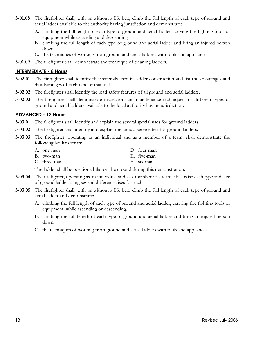- **3-01.08** The firefighter shall, with or without a life belt, climb the full length of each type of ground and aerial ladder available to the authority having jurisdiction and demonstrate:
	- A. climbing the full length of each type of ground and aerial ladder carrying fire fighting tools or equipment while ascending and descending
	- B. climbing the full length of each type of ground and aerial ladder and bring an injured person down.
	- C. the techniques of working from ground and aerial ladders with tools and appliances.
- **3-01.09** The firefighter shall demonstrate the technique of cleaning ladders.

#### **INTERMEDIATE - 8 Hours**

- **3-02.01** The firefighter shall identify the materials used in ladder construction and list the advantages and disadvantages of each type of material.
- **3-02.02** The firefighter shall identify the load safety features of all ground and aerial ladders.
- **3-02.03** The firefighter shall demonstrate inspection and maintenance techniques for different types of ground and aerial ladders available to the local authority having jurisdiction.

#### **ADVANCED - 12 Hours**

- **3-03.01** The firefighter shall identify and explain the several special uses for ground ladders.
- **3-03.02** The firefighter shall identify and explain the annual service test for ground ladders.
- **3-03.03** The firefighter, operating as an individual and as a member of a team, shall demonstrate the following ladder carries:
	- A. one-man D. four-man B. two-man E. five-man
	- C. three-man F. six-man

The ladder shall be positioned flat on the ground during this demonstration.

- **3-03.04** The firefighter, operating as an individual and as a member of a team, shall raise each type and size of ground ladder using several different raises for each.
- **3-03.05** The firefighter shall, with or without a life belt, climb the full length of each type of ground and aerial ladder and demonstrate:
	- A. climbing the full length of each type of ground and aerial ladder, carrying fire fighting tools or equipment, while ascending or descending.
	- B. climbing the full length of each type of ground and aerial ladder and bring an injured person down.
	- C. the techniques of working from ground and aerial ladders with tools and appliances.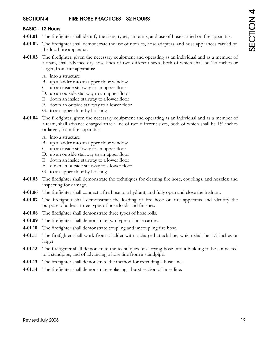# **SECTION 4 FIRE HOSE PRACTICES - 32 HOURS**

#### **BASIC - 12 Hours**

- **4-01.01** The firefighter shall identify the sizes, types, amounts, and use of hose carried on fire apparatus.
- **4-01.02** The firefighter shall demonstrate the use of nozzles, hose adapters, and hose appliances carried on the local fire apparatus.
- **4-01.03** The firefighter, given the necessary equipment and operating as an individual and as a member of a team, shall advance dry hose lines of two different sizes, both of which shall be  $1\frac{1}{2}$  inches or larger, from fire apparatus:
	- A. into a structure
	- B. up a ladder into an upper floor window
	- C. up an inside stairway to an upper floor
	- D. up an outside stairway to an upper floor
	- E. down an inside stairway to a lower floor
	- F. down an outside stairway to a lower floor
	- G. to an upper floor by hoisting
- **4-01.04** The firefighter, given the necessary equipment and operating as an individual and as a member of a team, shall advance charged attack line of two different sizes, both of which shall be 1½ inches or larger, from fire apparatus:
	- A. into a structure
	- B. up a ladder into an upper floor window
	- C. up an inside stairway to an upper floor
	- D. up an outside stairway to an upper floor
	- E. down an inside stairway to a lower floor
	- F. down an outside stairway to a lower floor
	- G. to an upper floor by hoisting
- **4-01.05** The firefighter shall demonstrate the techniques for cleaning fire hose, couplings, and nozzles; and inspecting for damage.
- **4-01.06** The firefighter shall connect a fire hose to a hydrant, and fully open and close the hydrant.
- **4-01.07** The firefighter shall demonstrate the loading of fire hose on fire apparatus and identify the purpose of at least three types of hose loads and finishes.
- **4-01.08** The firefighter shall demonstrate three types of hose rolls.
- **4-01.09** The firefighter shall demonstrate two types of hose carries.
- **4-01.10** The firefighter shall demonstrate coupling and uncoupling fire hose.
- **4-01.11** The firefighter shall work from a ladder with a charged attack line, which shall be 1½ inches or larger.
- **4-01.12** The firefighter shall demonstrate the techniques of carrying hose into a building to be connected to a standpipe, and of advancing a hose line from a standpipe.
- **4-01.13** The firefighter shall demonstrate the method for extending a hose line.
- **4-01.14** The firefighter shall demonstrate replacing a burst section of hose line.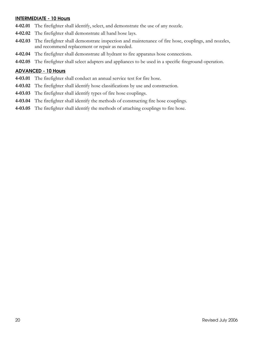#### **INTERMEDIATE - 10 Hours**

- **4-02.01** The firefighter shall identify, select, and demonstrate the use of any nozzle.
- **4-02.02** The firefighter shall demonstrate all hand hose lays.
- **4-02.03** The firefighter shall demonstrate inspection and maintenance of fire hose, couplings, and nozzles, and recommend replacement or repair as needed.
- **4-02.04** The firefighter shall demonstrate all hydrant to fire apparatus hose connections.
- **4-02.05** The firefighter shall select adapters and appliances to be used in a specific fireground operation.

#### **ADVANCED - 10 Hours**

- **4-03.01** The firefighter shall conduct an annual service test for fire hose.
- **4-03.02** The firefighter shall identify hose classifications by use and construction.
- **4-03.03** The firefighter shall identify types of fire hose couplings.
- **4-03.04** The firefighter shall identify the methods of constructing fire hose couplings.
- **4-03.05** The firefighter shall identify the methods of attaching couplings to fire hose.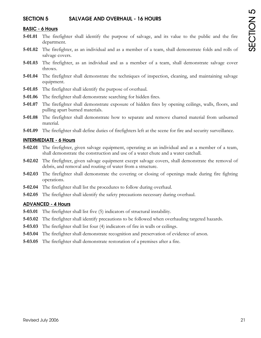## **SECTION 5 SALVAGE AND OVERHAUL - 16 HOURS**

#### **BASIC - 6 Hours**

- **5-01.01** The firefighter shall identify the purpose of salvage, and its value to the public and the fire department.
- **5-01.02** The firefighter, as an individual and as a member of a team, shall demonstrate folds and rolls of salvage covers.
- **5-01.03** The firefighter, as an individual and as a member of a team, shall demonstrate salvage cover throws.
- **5-01.04** The firefighter shall demonstrate the techniques of inspection, cleaning, and maintaining salvage equipment.
- **5-01.05** The firefighter shall identify the purpose of overhaul.
- **5-01.06** The firefighter shall demonstrate searching for hidden fires.
- **5-01.07** The firefighter shall demonstrate exposure of hidden fires by opening ceilings, walls, floors, and pulling apart burned materials.
- **5-01.08** The firefighter shall demonstrate how to separate and remove charred material from unburned material.
- **5-01.09** The firefighter shall define duties of firefighters left at the scene for fire and security surveillance.

#### **INTERMEDIATE - 6 Hours**

- **5-02.01** The firefighter, given salvage equipment, operating as an individual and as a member of a team, shall demonstrate the construction and use of a water chute and a water catchall.
- **5-02.02** The firefighter, given salvage equipment except salvage covers, shall demonstrate the removal of debris, and removal and routing of water from a structure.
- **5-02.03** The firefighter shall demonstrate the covering or closing of openings made during fire fighting operations.
- **5-02.04** The firefighter shall list the procedures to follow during overhaul.
- **5-02.05** The firefighter shall identify the safety precautions necessary during overhaul.

#### **ADVANCED - 4 Hours**

- **5-03.01** The firefighter shall list five (5) indicators of structural instability.
- **5-03.02** The firefighter shall identify precautions to be followed when overhauling targeted hazards.
- **5-03.03** The firefighter shall list four (4) indicators of fire in walls or ceilings.
- **5-03.04** The firefighter shall demonstrate recognition and preservation of evidence of arson.
- **5-03.05** The firefighter shall demonstrate restoration of a premises after a fire.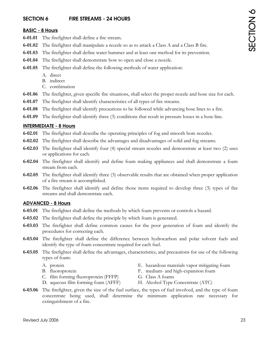# SECTION 6 SECTION 6

# **SECTION 6 FIRE STREAMS - 24 HOURS**

# **BASIC - 8 Hours**

- **6-01.01** The firefighter shall define a fire stream.
- **6-01.02** The firefighter shall manipulate a nozzle so as to attack a Class A and a Class B fire.
- **6-01.03** The firefighter shall define water hammer and at least one method for its prevention.
- **6-01.04** The firefighter shall demonstrate how to open and close a nozzle.
- **6-01.05** The firefighter shall define the following methods of water application:
	- A. direct
	- B. indirect
	- C. combination
- **6-01.06** The firefighter, given specific fire situations, shall select the proper nozzle and hose size for each.
- **6-01.07** The firefighter shall identify characteristics of all types of fire streams.
- **6-01.08** The firefighter shall identify precautions to be followed while advancing hose lines to a fire.
- **6-01.09** The firefighter shall identify three (3) conditions that result in pressure losses in a hose line.

# **INTERMEDIATE - 8 Hours**

- **6-02.01** The firefighter shall describe the operating principles of fog and smooth bore nozzles.
- **6-02.02** The firefighter shall describe the advantages and disadvantages of solid and fog streams.
- **6-02.03** The firefighter shall identify four (4) special stream nozzles and demonstrate at least two (2) uses or applications for each.
- **6-02.04** The firefighter shall identify and define foam making appliances and shall demonstrate a foam stream from each.
- **6-02.05** The firefighter shall identify three (3) observable results that are obtained when proper application of a fire stream is accomplished.
- **6-02.06** The firefighter shall identify and define those items required to develop three (3) types of fire streams and shall demonstrate each.

# **ADVANCED - 8 Hours**

- **6-03.01** The firefighter shall define the methods by which foam prevents or controls a hazard.
- **6-03.02** The firefighter shall define the principle by which foam is generated.
- **6-03.03** The firefighter shall define common causes for the poor generation of foam and identify the procedures for correcting each.
- **6-03.04** The firefighter shall define the difference between hydrocarbon and polar solvent fuels and identify the type of foam concentrate required for each fuel.
- **6-03.05** The firefighter shall define the advantages, characteristics, and precautions for use of the following types of foam:
	-
	-
	- C. film forming fluoroprotein (FFFP) G. Class A foams
	- D. aqueous film forming foam (AFFF) H. Alcohol Type Concentrate (ATC)
	- A. protein E. hazardous materials vapor mitigating foam
	- B. fluoroprotein F. medium- and high-expansion foam
		-
		-
- **6-03.06** The firefighter, given the size of the fuel surface, the types of fuel involved, and the type of foam concentrate being used, shall determine the minimum application rate necessary for extinguishment of a fire.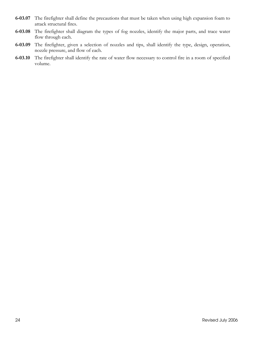- **6-03.07** The firefighter shall define the precautions that must be taken when using high expansion foam to attack structural fires.
- **6-03.08** The firefighter shall diagram the types of fog nozzles, identify the major parts, and trace water flow through each.
- **6-03.09** The firefighter, given a selection of nozzles and tips, shall identify the type, design, operation, nozzle pressure, and flow of each.
- **6-03.10** The firefighter shall identify the rate of water flow necessary to control fire in a room of specified volume.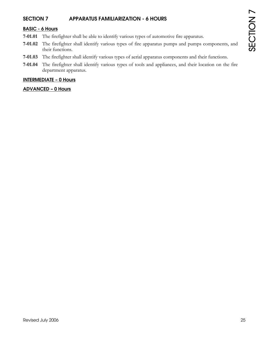# **SECTION 7 APPARATUS FAMILIARIZATION - 6 HOURS**

# **BASIC - 6 Hours**

- **7-01.01** The firefighter shall be able to identify various types of automotive fire apparatus.
- **7-01.02** The firefighter shall identify various types of fire apparatus pumps and pumps components, and their functions.
- **7-01.03** The firefighter shall identify various types of aerial apparatus components and their functions.
- **7-01.04** The firefighter shall identify various types of tools and appliances, and their location on the fire department apparatus.

#### **INTERMEDIATE – 0 Hours**

#### **ADVANCED – 0 Hours**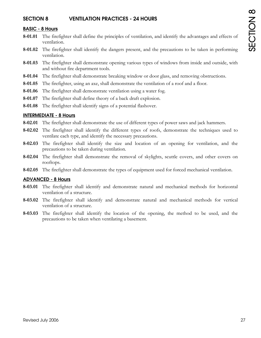## **SECTION 8 VENTILATION PRACTICES - 24 HOURS**

#### **BASIC - 8 Hours**

- **8-01.01** The firefighter shall define the principles of ventilation, and identify the advantages and effects of ventilation.
- **8-01.02** The firefighter shall identify the dangers present, and the precautions to be taken in performing ventilation.
- **8-01.03** The firefighter shall demonstrate opening various types of windows from inside and outside, with and without fire department tools.
- **8-01.04** The firefighter shall demonstrate breaking window or door glass, and removing obstructions.
- **8-01.05** The firefighter, using an axe, shall demonstrate the ventilation of a roof and a floor.
- **8-01.06** The firefighter shall demonstrate ventilation using a water fog.
- **8-01.07** The firefighter shall define theory of a back draft explosion.
- **8-01.08** The firefighter shall identify signs of a potential flashover.

#### **INTERMEDIATE - 8 Hours**

- **8-02.01** The firefighter shall demonstrate the use of different types of power saws and jack hammers.
- **8-02.02** The firefighter shall identify the different types of roofs, demonstrate the techniques used to ventilate each type, and identify the necessary precautions.
- **8-02.03** The firefighter shall identify the size and location of an opening for ventilation, and the precautions to be taken during ventilation.
- **8-02.04** The firefighter shall demonstrate the removal of skylights, scuttle covers, and other covers on rooftops.
- **8-02.05** The firefighter shall demonstrate the types of equipment used for forced mechanical ventilation.

#### **ADVANCED - 8 Hours**

- **8-03.01** The firefighter shall identify and demonstrate natural and mechanical methods for horizontal ventilation of a structure.
- **8-03.02** The firefighter shall identify and demonstrate natural and mechanical methods for vertical ventilation of a structure.
- **8-03.03** The firefighter shall identify the location of the opening, the method to be used, and the precautions to be taken when ventilating a basement.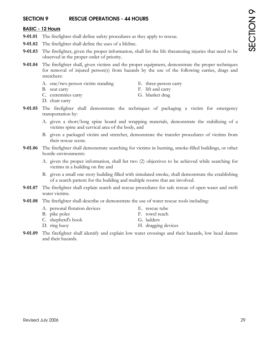# **SECTION 9 RESCUE OPERATIONS - 44 HOURS**

#### **BASIC - 12 Hours**

- **9-01.01** The firefighter shall define safety procedures as they apply to rescue.
- **9-01.02** The firefighter shall define the uses of a lifeline.
- **9-01.03** The firefighter, given the proper information, shall list the life threatening injuries that need to be observed in the proper order of priority.
- **9-01.04** The firefighter shall, given victims and the proper equipment, demonstrate the proper techniques for removal of injured person(s) from hazards by the use of the following carries, drags and stretchers:
	- A. one/two person victim standing E. three-person carry
	-
- 
- B. seat carry F. lift and carry
- C. extremities carry G. blanket drag
- D. chair carry
- **9-01.05** The firefighter shall demonstrate the techniques of packaging a victim for emergency transportation by:
	- A. given a short/long spine board and wrapping materials, demonstrate the stabilizing of a victims spine and cervical area of the body, and
	- B. given a packaged victim and stretcher, demonstrate the transfer procedures of victims from their rescue scene.
- **9-01.06** The firefighter shall demonstrate searching for victims in burning, smoke-filled buildings, or other hostile environments:
	- A. given the proper information, shall list two (2) objectives to be achieved while searching for victims in a building on fire and
	- B. given a small one story building filled with simulated smoke, shall demonstrate the establishing of a search pattern for the building and multiple rooms that are involved.
- **9-01.07** The firefighter shall explain search and rescue procedures for safe rescue of open water and swift water victims.
- **9-01.08** The firefighter shall describe or demonstrate the use of water rescue tools including:
	- A. personal flotation devices E. rescue tube
	- B. pike poles F. towel reach
	- C. shepherd's hook G. ladders
- 
- -
	- D. ring buoy H. dragging devices
- **9-01.09** The firefighter shall identify and explain low water crossings and their hazards, low head damns and their hazards.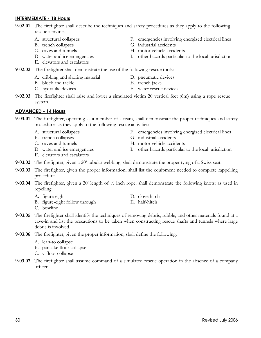# **INTERMEDIATE - 18 Hours**

- **9-02.01** The firefighter shall describe the techniques and safety procedures as they apply to the following rescue activities:
	- A. structural collapses F. emergencies involving energized electrical lines
	- B. trench collapses G. industrial accidents
	- C. caves and tunnels H. motor vehicle accidents
	- D. water and ice emergencies I. other hazards particular to the local jurisdiction
	- E. elevators and escalators
- **9-02.02** The firefighter shall demonstrate the use of the following rescue tools:
	- A. cribbing and shoring material D. pneumatic devices
	- B. block and tackle E. trench jacks
	- C. hydraulic devices F. water rescue devices
- **9-02.03** The firefighter shall raise and lower a simulated victim 20 vertical feet (6m) using a rope rescue system.

# **ADVANCED - 14 Hours**

- **9-03.01** The firefighter, operating as a member of a team, shall demonstrate the proper techniques and safety procedures as they apply to the following rescue activities:
	-
	-
	-
	-
	- E. elevators and escalators
	- A. structural collapses F. emergencies involving energized electrical lines
	- B. trench collapses G. industrial accidents
	- C. caves and tunnels H. motor vehicle accidents
	- D. water and ice emergencies I. other hazards particular to the local jurisdiction
- **9-03.02** The firefighter, given a 20' tubular webbing, shall demonstrate the proper tying of a Swiss seat.
- **9-03.03** The firefighter, given the proper information, shall list the equipment needed to complete rappelling procedure.
- **9-03.04** The firefighter, given a 20' length of ½ inch rope, shall demonstrate the following knots: as used in repelling:
	- A. figure-eight D. clove hitch
	- B. figure-eight follow through E. half-hitch
- -
- C. bowline
- **9-03.05** The firefighter shall identify the techniques of removing debris, rubble, and other materials found at a cave-in and list the precautions to be taken when constructing rescue shafts and tunnels where large debris is involved.
- **9-03.06** The firefighter, given the proper information, shall define the following:
	- A. lean-to collapse
	- B. pancake floor collapse
	- C. v-floor collapse
- **9-03.07** The firefighter shall assume command of a simulated rescue operation in the absence of a company officer.
- 
- 
-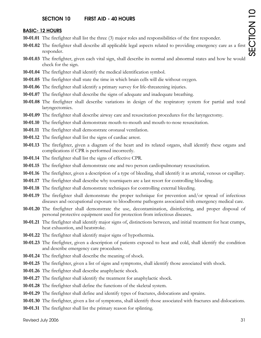#### **SECTION 10 FIRST AID - 40 HOURS**

#### **BASIC- 12 HOURS**

- **10-01.01** The firefighter shall list the three (3) major roles and responsibilities of the first responder.
- **10-01.02** The firefighter shall describe all applicable legal aspects related to providing emergency care as a first responder.
- **10-01.03** The firefighter, given each vital sign, shall describe its normal and abnormal states and how he would check for the sign.
- **10-01.04** The firefighter shall identify the medical identification symbol.
- **10-01.05** The firefighter shall state the time in which brain cells will die without oxygen.
- **10-01.06** The firefighter shall identify a primary survey for life-threatening injuries.
- **10-01.07** The firefighter shall describe the signs of adequate and inadequate breathing.
- **10-01.08** The firefighter shall describe variations in design of the respiratory system for partial and total laryngectomies.
- **10-01.09** The firefighter shall describe airway care and resuscitation procedures for the laryngectomy.
- **10-01.10** The firefighter shall demonstrate mouth-to-mouth and mouth-to-nose resuscitation.
- **10-01.11** The firefighter shall demonstrate oronasal ventilation.
- **10-01.12** The firefighter shall list the signs of cardiac arrest.
- **10-01.13** The firefighter, given a diagram of the heart and its related organs, shall identify these organs and complications if CPR is performed incorrectly.
- **10-01.14** The firefighter shall list the signs of effective CPR.
- **10-01.15** The firefighter shall demonstrate one and two person cardiopulmonary resuscitation.
- **10-01.16** The firefighter, given a description of a type of bleeding, shall identify it as arterial, venous or capillary.
- **10-01.17** The firefighter shall describe why tourniquets are a last resort for controlling blooding.
- **10-01.18** The firefighter shall demonstrate techniques for controlling external bleeding.
- **10-01.19** The firefighter shall demonstrate the proper technique for prevention and/or spread of infectious diseases and occupational exposure to bloodborne pathogens associated with emergency medical care.
- **10-01.20** The firefighter shall demonstrate the use, decontamination, disinfecting, and proper disposal of personal protective equipment used for protection from infectious diseases.
- **10-01.21** The firefighter shall identify major signs of, distinctions between, and initial treatment for heat cramps, heat exhaustion, and heatstroke.
- **10-01.22** The firefighter shall identify major signs of hypothermia.
- **10-01.23** The firefighter, given a description of patients exposed to heat and cold, shall identify the condition and describe emergency care procedures.
- **10-01.24** The firefighter shall describe the meaning of shock.
- **10-01.25** The firefighter, given a list of signs and symptoms, shall identify those associated with shock.
- **10-01.26** The firefighter shall describe anaphylactic shock.
- **10-01.27** The firefighter shall identify the treatment for anaphylactic shock.
- **10-01.28** The firefighter shall define the functions of the skeletal system.
- **10-01.29** The firefighter shall define and identify types of fractures, dislocations and sprains.
- **10-01.30** The firefighter, given a list of symptoms, shall identify those associated with fractures and dislocations.
- **10-01.31** The firefighter shall list the primary reason for splinting.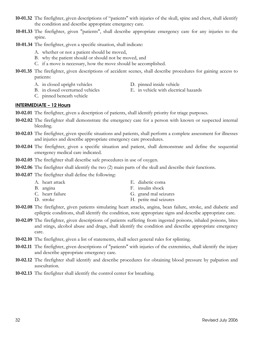- **10-01.32** The firefighter, given descriptions of "patients" with injuries of the skull, spine and chest, shall identify the condition and describe appropriate emergency care.
- **10-01.33** The firefighter, given "patients", shall describe appropriate emergency care for any injuries to the spine.
- **10-01.34** The firefighter, given a specific situation, shall indicate:
	- A. whether or not a patient should be moved,
	- B. why the patient should or should not be moved, and
	- C. if a move is necessary, how the move should be accomplished.
- **10-01.35** The firefighter, given descriptions of accident scenes, shall describe procedures for gaining access to patients:
	- A. in closed upright vehicles D. pinned inside vehicle<br>B. in closed overturned vehicles E. in vehicle with electric
		-
		- E. in vehicle with electrical hazards
	- C. pinned beneath vehicle

#### **INTERMEDIATE – 12 Hours**

- **10-02.01** The firefighter, given a description of patients, shall identify priority for triage purposes.
- **10-02.02** The firefighter shall demonstrate the emergency care for a person with known or suspected internal bleeding.
- **10-02.03** The firefighter, given specific situations and patients, shall perform a complete assessment for illnesses and injuries and describe appropriate emergency care procedures.
- **10-02.04** The firefighter, given a specific situation and patient, shall demonstrate and define the sequential emergency medical care indicated.
- **10-02.05** The firefighter shall describe safe procedures in use of oxygen.
- **10-02.06** The firefighter shall identify the two (2) main parts of the skull and describe their functions.
- **10-02.07** The firefighter shall define the following:
	- A. heart attack E. diabetic coma B. angina F. insulin shock C. heart failure G. grand mal seizures D. stroke H. petite mal seizures
- **10-02.08** The firefighter, given patients simulating heart attacks, angina, bean failure, stroke, and diabetic and epileptic conditions, shall identify the condition, note appropriate signs and describe appropriate care.
- **10-02.09** The firefighter, given descriptions of patients suffering from ingested poisons, inhaled poisons, bites and stings, alcohol abuse and drugs, shall identify the condition and describe appropriate emergency care.
- **10-02.10** The firefighter, given a list of statements, shall select general rules for splinting.
- **10-02.11** The firefighter, given descriptions of "patients" with injuries of the extremities, shall identify the injury and describe appropriate emergency care.
- **10-02.12** The firefighter shall identify and describe procedures for obtaining blood pressure by palpation and auscultation.
- **10-02.13** The firefighter shall identify the control center for breathing.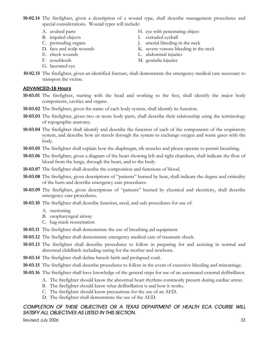**10-02.14** The firefighter, given a description of a wound type, shall describe management procedures and special considerations. Wound types will include:

- 
- 
- 
- 
- 
- 
- G. lacerated eye
- A. avulsed parts H. eye with penetrating object
- B. impaled objects I. extruded eyeball
- C. protruding organs J. arterial bleeding in the neck
- D. face and scalp wounds K. severe venous bleeding in the neck
- E. cheek wounds L. abdominal injuries
- F. nosebleeds M. genitalia injuries
- **10-02.15** The firefighter, given an identified fracture, shall demonstrate the emergency medical care necessary to transport the victim.

### **ADVANCED-16 Hours**

- **10-03.01** The firefighter, starting with the head and working to the feet, shall identify the major body components, cavities and organs.
- **10-03.02** The firefighter, given the name of each body system, shall identify its function.
- **10-03.03** The firefighter, given two or more body parts, shall describe their relationship using the terminology of topographic anatomy.
- **10-03.04** The firefighter shall identify and describe the function of each of the components of the respiratory system, and describe how air travels through the system to exchange oxygen and waste gases with the body.
- **10-03.05** The firefighter shall explain how the diaphragm, rib muscles and pleura operate to permit breathing.
- **10-03.06** The firefighter, given a diagram of the heart showing left and right chambers, shall indicate the flow of blood from the lungs, through the heart, and to the body.
- **10-03.07** The firefighter shall describe the composition and functions of blood.
- **10-03.08** The firefighter, given descriptions of "patients" burned by heat, shall indicate the degree and criticality of the burn and describe emergency care procedures.
- **10-03.09** The firefighter, given descriptions of "patients" burned by chemical and electricity, shall describe emergency care procedures.
- **10-03.10** The firefighter shall describe function, need, and safe procedures for use of:
	- A. suctioning
	- B. oropharyngeal airway
	- C. bag-mask resuscitation
- **10-03.11** The firefighter shall demonstrate the use of breathing aid equipment.
- **10-03.12** The firefighter shall demonstrate emergency medical care of traumatic shock.
- **10-03.13** The firefighter shall describe procedures to follow in preparing for and assisting in normal and abnormal childbirth including caring for the mother and newborn.
- **10-03.14** The firefighter shall define breech birth and prolapsed cord.
- **10-03.15** The firefighter shall describe procedures to follow in the event of excessive bleeding and miscarriage.
- **10-03.16** The firefighter shall have knowledge of the general steps for use of an automated external defibrillator.
	- A. The firefighter should know the abnormal heart rhythms commonly present during cardiac arrest.
	- B. The firefighter should know what defibrillation is and how it works.
	- C. The firefighter should know precautions for the use of an AED.
	- D. The firefighter shall demonstrate the use of the AED.

# COMPLETION OF THESE OBJECTIVES OR A TEXAS DEPARTMENT OF HEALTH ECA COURSE WILL *SATISFY ALL OBJECTIVES AS LISTED IN THIS SECTION.*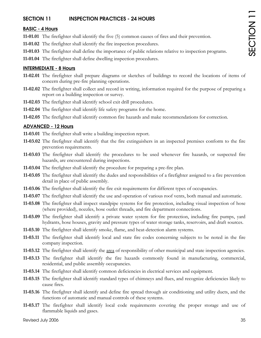# **SECTION 11** INSPECTION PRACTICES - 24 HOURS

### **BASIC - 4 Hours**

- **11-01.01** The firefighter shall identify the five (5) common causes of fires and their prevention.
- **11-01.02** The firefighter shall identify the fire inspection procedures.
- **11-01.03** The firefighter shall define the importance of public relations relative to inspection programs.
- **11-01.04** The firefighter shall define dwelling inspection procedures.

### **INTERMEDIATE - 8 Hours**

- **11-02.01** The firefighter shall prepare diagrams or sketches of buildings to record the locations of items of concern during pre-fire planning operations.
- **11-02.02** The firefighter shall collect and record in writing, information required for the purpose of preparing a report on a building inspection or survey.
- **11-02.03** The firefighter shall identify school exit drill procedures.
- **11-02.04** The firefighter shall identify life safety programs for the home.
- **11-02.05** The firefighter shall identify common fire hazards and make recommendations for correction.

### **ADVANCED - 12 Hours**

- **11-03.01** The firefighter shall write a building inspection report.
- **11-03.02** The firefighter shall identify that the fire extinguishers in an inspected premises conform to the fire prevention requirements.
- **11-03.03** The firefighter shall identify the procedures to be used whenever fire hazards, or suspected fire hazards, are encountered during inspections.
- **11-03.04** The firefighter shall identify the procedure for preparing a pre-fire plan.
- **11-03.05** The firefighter shall identify the dudes and responsibilities of a firefighter assigned to a fire prevention detail in place of public assembly.
- **11-03.06** The firefighter shall identify the fire exit requirements for different types of occupancies.
- **11-03.07** The firefighter shall identify the use and operation of various roof vents, both manual and automatic.
- **11-03.08** The firefighter shall inspect standpipe systems for fire protection, including visual inspection of hose (where provided), nozzles, hose outlet threads, and fire department connections.
- **11-03.09** The firefighter shall identify a private water system for fire protection, including fire pumps, yard hydrants, hose houses, gravity and pressure types of water storage tanks, reservoirs, and draft sources.
- **11-03.10** The firefighter shall identify smoke, flame, and heat-detection alarm systems.
- **11-03.11** The firefighter shall identify local and state fire codes concerning subjects to be noted in the fire company inspection.
- **11-03.12** The firefighter shall identify the area of responsibility of other municipal and state inspection agencies.
- **11-03.13** The firefighter shall identify the fire hazards commonly found in manufacturing, commercial, residential, and public assembly occupancies.
- **11-03.14** The firefighter shall identify common deficiencies in electrical services and equipment.
- **11-03.15** The firefighter shall identify standard types of chimneys and flues, and recognize deficiencies likely to cause fires.
- **11-03.16** The firefighter shall identify and define fire spread through air conditioning and utility ducts, and the functions of automatic and manual controls of these systems.
- **11-03.17** The firefighter shall identify local code requirements covering the proper storage and use of flammable liquids and gases.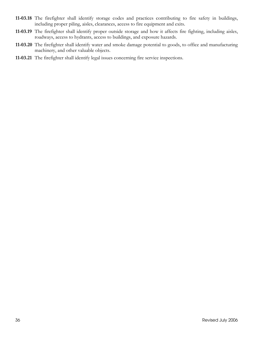- **11-03.18** The firefighter shall identify storage codes and practices contributing to fire safety in buildings, including proper piling, aisles, clearances, access to fire equipment and exits.
- **11-03.19** The firefighter shall identify proper outside storage and how it affects fire fighting, including aisles, roadways, access to hydrants, access to buildings, and exposure hazards.
- **11-03.20** The firefighter shall identify water and smoke damage potential to goods, to office and manufacturing machinery, and other valuable objects.
- **11-03.21** The firefighter shall identify legal issues concerning fire service inspections.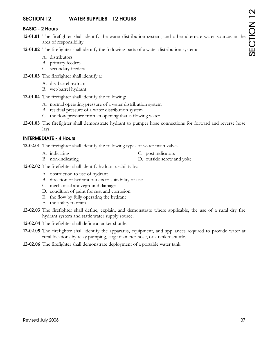# **SECTION 12 WATER SUPPLIES - 12 HOURS**

### **BASIC - 2 Hours**

- **12-01.01** The firefighter shall identify the water distribution system, and other alternate water sources in the area of responsibility.
- **12-01.02** The firefighter shall identify the following parts of a water distribution system:
	- A. distributors
	- B. primary feeders
	- C. secondary feeders
- **12-01.03** The firefighter shall identify a:
	- A. dry-barrel hydrant
	- B. wet-barrel hydrant
- **12-01.04** The firefighter shall identify the following:
	- A. normal operating pressure of a water distribution system
	- B. residual pressure of a water distribution system
	- C. the flow pressure from an opening that is flowing water
- **12-01.05** The firefighter shall demonstrate hydrant to pumper hose connections for forward and reverse hose lays.

#### **INTERMEDIATE - 4 Hours**

**12-02.01** The firefighter shall identify the following types of water main valves:

- A. indicating C. post indicators
- B. non-indicating D. outside screw and yoke
- **12-02.02** The firefighter shall identify hydrant usability by:
	- A. obstruction to use of hydrant
	- B. direction of hydrant outlets to suitability of use
	- C. mechanical aboveground damage
	- D. condition of paint for rust and corrosion
	- E. the flow by fully operating the hydrant
	- F. the ability to drain
- **12-02.03** The firefighter shall define, explain, and demonstrate where applicable, the use of a rural dry fire hydrant system and static water supply source.
- **12-02.04** The firefighter shall define a tanker shuttle.
- **12-02.05** The firefighter shall identify the apparatus, equipment, and appliances required to provide water at rural locations by relay pumping, large diameter hose, or a tanker shuttle.
- **12-02.06** The firefighter shall demonstrate deployment of a portable water tank.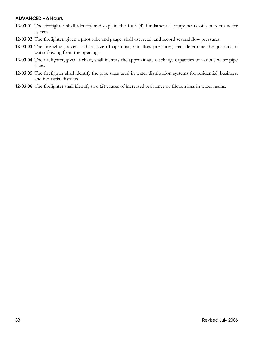### **ADVANCED - 6 Hours**

- **12-03.01** The firefighter shall identify and explain the four (4) fundamental components of a modem water system.
- **12-03.02** The firefighter, given a pitot tube and gauge, shall use, read, and record several flow pressures.
- **12-03.03** The firefighter, given a chart, size of openings, and flow pressures, shall determine the quantity of water flowing from the openings.
- **12-03.04** The firefighter, given a chart, shall identify the approximate discharge capacities of various water pipe sizes.
- **12-03.05** The firefighter shall identify the pipe sizes used in water distribution systems for residential, business, and industrial districts.
- **12-03.06** The firefighter shall identify two (2) causes of increased resistance or friction loss in water mains.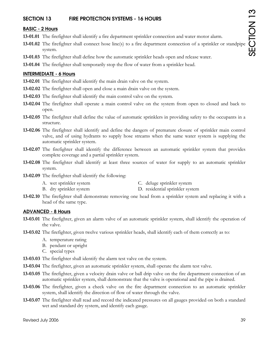# **SECTION 13 FIRE PROTECTION SYSTEMS - 16 HOURS**

## **BASIC - 2 Hours**

- **13-01.01** The firefighter shall identify a fire department sprinkler connection and water motor alarm.
- **13-01.02** The firefighter shall connect hose line(s) to a fire department connection of a sprinkler or standpipe system.
- **13-01.03** The firefighter shall define how the automatic sprinkler heads open and release water.
- **13-01.04** The firefighter shall temporarily stop the flow of water from a sprinkler head.

### **INTERMEDIATE - 6 Hours**

- **13-02.01** The firefighter shall identify the main drain valve on the system.
- **13-02.02** The firefighter shall open and close a main drain valve on the system.
- **13-02.03** The firefighter shall identify the main control valve on the system.
- **13-02.04** The firefighter shall operate a main control valve on the system from open to closed and back to open.
- **13-02.05** The firefighter shall define the value of automatic sprinklers in providing safety to the occupants in a structure.
- **13-02.06** The firefighter shall identify and define the dangers of premature closure of sprinkler main control valve, and of using hydrants to supply hose streams when the same water system is supplying the automatic sprinkler system.
- **13-02.07** The firefighter shall identify the difference between an automatic sprinkler system that provides complete coverage and a partial sprinkler system.
- **13-02.08** The firefighter shall identify at least three sources of water for supply to an automatic sprinkler system.
- **13-02.09** The firefighter shall identify the following:
	- A. wet sprinkler system C. deluge sprinkler system
	- B. dry sprinkler system D. residential sprinkler system
- **13-02.10** The firefighter shall demonstrate removing one head from a sprinkler system and replacing it with a head of the same type.

### **ADVANCED - 8 Hours**

- **13-03.01** The firefighter, given an alarm valve of an automatic sprinkler system, shall identify the operation of the valve.
- **13-03.02** The firefighter, given twelve various sprinkler heads, shall identify each of them correctly as to:
	- A. temperature rating
	- B. pendant or upright
	- C. special types
- **13-03.03** The firefighter shall identify the alarm test valve on the system.
- **13-03.04** The firefighter, given an automatic sprinkler system, shall operate the alarm test valve.
- **13-03.05** The firefighter, given a velocity drain valve or ball drip valve on the fire department connection of an automatic sprinkler system, shall demonstrate that the valve is operational and the pipe is drained.
- **13-03.06** The firefighter, given a check valve on the fire department connection to an automatic sprinkler system, shall identify the direction of flow of water through the valve.
- **13-03.07** The firefighter shall read and record the indicated pressures on all gauges provided on both a standard wet and standard dry system, and identify each gauge.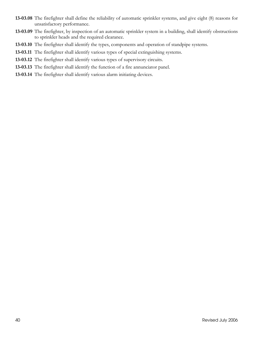- **13-03.08** The firefighter shall define the reliability of automatic sprinkler systems, and give eight (8) reasons for unsatisfactory performance.
- **13-03.09** The firefighter, by inspection of an automatic sprinkler system in a building, shall identify obstructions to sprinkler heads and the required clearance.
- **13-03.10** The firefighter shall identify the types, components and operation of standpipe systems.
- **13-03.11** The firefighter shall identify various types of special extinguishing systems.
- **13-03.12** The firefighter shall identify various types of supervisory circuits.
- **13-03.13** The firefighter shall identify the function of a fire annunciator panel.
- **13-03.14** The firefighter shall identify various alarm initiating devices.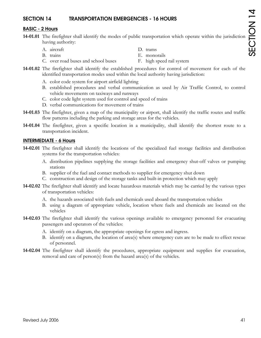# **SECTION 14 TRANSPORTATION EMERGENCIES - 16 HOURS**

# **BASIC - 2 Hours**

- **14-01.01** The firefighter shall identify the modes of public transportation which operate within the jurisdiction having authority:
	- A. aircraft D. trams
		-
- 
- B. trains E. monorails
- C. over road buses and school buses F. high speed rail system
- 
- 
- **14-01.02** The firefighter shall identify the established procedures for control of movement for each of the identified transportation modes used within the local authority having jurisdiction:
	- A. color code system for airport airfield lighting
	- B. established procedures and verbal communication as used by Air Traffic Control, to control vehicle movements on taxiways and runways
	- C. color code light system used for control and speed of trains
	- D. verbal communications for movement of trains
- **14-01.03** The firefighter, given a map of the municipality or airport, shall identify the traffic routes and traffic flow patterns including the parking and storage areas for the vehicles.
- **14-01.04** The firefighter, given a specific location in a municipality, shall identify the shortest route to a transportation incident.

# **INTERMEDIATE - 6 Hours**

- **14-02.01** The firefighter shall identify the locations of the specialized fuel storage facilities and distribution systems for the transportation vehicles:
	- A. distribution pipelines supplying the storage facilities and emergency shut-off valves or pumping stations
	- B. supplier of the fuel and contact methods to supplier for emergency shut down
	- C. construction and design of the storage tanks and built-in protection which may apply
- **14-02.02** The firefighter shall identify and locate hazardous materials which may be carried by the various types of transportation vehicles:
	- A. the hazards associated with fuels and chemicals used aboard the transportation vehicles
	- B. using a diagram of appropriate vehicle, location where fuels and chemicals are located on the vehicles
- **14-02.03** The firefighter shall identify the various openings available to emergency personnel for evacuating passengers and operators of the vehicles:
	- A. identify on a diagram, the appropriate openings for egress and ingress.
	- B. identify on a diagram, the location of area(s) where emergency cuts are to be made to effect rescue of personnel.
- **14-02.04** The firefighter shall identify the procedures, appropriate equipment and supplies for evacuation, removal and care of person(s) from the hazard area(s) of the vehicles.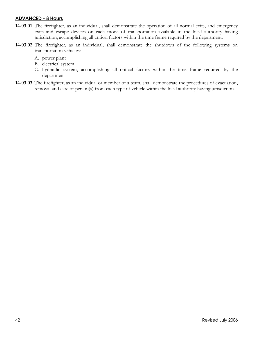### **ADVANCED - 8 Hours**

- **14-03.01** The firefighter, as an individual, shall demonstrate the operation of all normal exits, and emergency exits and escape devices on each mode of transportation available in the local authority having jurisdiction, accomplishing all critical factors within the time frame required by the department.
- **14-03.02** The firefighter, as an individual, shall demonstrate the shutdown of the following systems on transportation vehicles:
	- A. power plant
	- B. electrical system
	- C. hydraulic system, accomplishing all critical factors within the time frame required by the department
- **14-03.03** The firefighter, as an individual or member of a team, shall demonstrate the procedures of evacuation, removal and care of person(s) from each type of vehicle within the local authority having jurisdiction.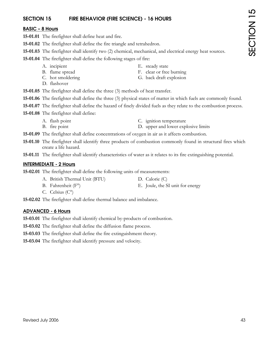# **SECTION 15 FIRE BEHAVIOR (FIRE SCIENCE) - 16 HOURS**

### **BASIC – 8 Hours**

- **15-01.01** The firefighter shall define heat and fire.
- **15-01.02** The firefighter shall define the fire triangle and tetrahedron.
- **15-01.03** The firefighter shall identify two (2) chemical, mechanical, and electrical energy heat sources.
- **15-01.04** The firefighter shall define the following stages of fire:
	- A. incipient E. steady state
	- B. flame spread F. clear or free burning
	-
	- D. flashover
- 
- C. hot smoldering G. back draft explosion
- **15-01.05** The firefighter shall define the three (3) methods of heat transfer.
- **15-01.06** The firefighter shall define the three (3) physical states of matter in which fuels are commonly found.
- **15-01.07** The firefighter shall define the hazard of finely divided fuels as they relate to the combustion process.
- **15-01.08** The firefighter shall define:
	- A. flash point C. ignition temperature
	- B. fire point D. upper and lower explosive limits
- **15-01.09** The firefighter shall define concentrations of oxygen in air as it affects combustion.
- **15-01.10** The firefighter shall identify three products of combustion commonly found in structural fires which create a life hazard.
- **15-01.11** The firefighter shall identify characteristics of water as it relates to its fire extinguishing potential.

#### **INTERMEDIATE - 2 Hours**

- **15-02.01** The firefighter shall define the following units of measurements:
	- A. British Thermal Unit (BTU) D. Calorie (C)
	- B. Fahrenheit  $(F^{\circ})$  E. Joule, the SI unit for energy
	- C. Celsius (C°)
- **15-02.02** The firefighter shall define thermal balance and imbalance.

### **ADVANCED - 6 Hours**

- **15-03.01** The firefighter shall identify chemical by-products of combustion.
- **15-03.02** The firefighter shall define the diffusion flame process.
- **15-03.03** The firefighter shall define the fire extinguishment theory.
- **15-03.04** The firefighter shall identify pressure and velocity.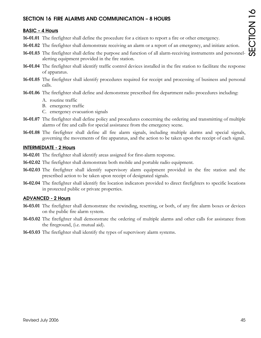# **SECTION 16 FIRE ALARMS AND COMMUNICATION – 8 HOURS**

## **BASIC – 4 Hours**

- **16-01.01** The firefighter shall define the procedure for a citizen to report a fire or other emergency.
- **16-01.02** The firefighter shall demonstrate receiving an alarm or a report of an emergency, and initiate action.
- **16-01.03** The firefighter shall define the purpose and function of all alarm-receiving instruments and personnelalerting equipment provided in the fire station.
- **16-01.04** The firefighter shall identify traffic control devices installed in the fire station to facilitate the response of apparatus.
- **16-01.05** The firefighter shall identify procedures required for receipt and processing of business and personal calls.
- **16-01.06** The firefighter shall define and demonstrate prescribed fire department radio procedures including:
	- A. routine traffic
	- B. emergency traffic
	- C. emergency evacuation signals
- **16-01.07** The firefighter shall define policy and procedures concerning the ordering and transmitting of multiple alarms of fire and calls for special assistance from the emergency scene.
- **16-01.08** The firefighter shall define all fire alarm signals, including multiple alarms and special signals, governing the movements of fire apparatus, and the action to be taken upon the receipt of each signal.

### **INTERMEDIATE - 2 Hours**

- **16-02.01** The firefighter shall identify areas assigned for first-alarm response.
- **16-02.02** The firefighter shall demonstrate both mobile and portable radio equipment.
- **16-02.03** The firefighter shall identify supervisory alarm equipment provided in the fire station and the prescribed action to be taken upon receipt of designated signals.
- **16-02.04** The firefighter shall identify fire location indicators provided to direct firefighters to specific locations in protected public or private properties.

### **ADVANCED - 2 Hours**

- **16-03.01** The firefighter shall demonstrate the rewinding, resetting, or both, of any fire alarm boxes or devices on the public fire alarm system.
- **16-03.02** The firefighter shall demonstrate the ordering of multiple alarms and other calls for assistance from the fireground, (i.e. mutual aid).
- **16-03.03** The firefighter shall identify the types of supervisory alarm systems.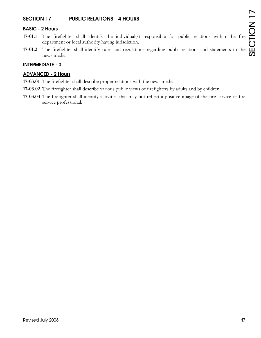# **SECTION 17 PUBLIC RELATIONS - 4 HOURS**

# **BASIC - 2 Hours**

- **17-01.1** The firefighter shall identify the individual(s) responsible for public relations within the fire department or local authority having jurisdiction.
- **17-01.2** The firefighter shall identify rules and regulations regarding public relations and statements to the news media.

### **INTERMEDIATE - 0**

### **ADVANCED - 2 Hours**

- **17-03.01** The firefighter shall describe proper relations with the news media.
- **17-03.02** The firefighter shall describe various public views of firefighters by adults and by children.
- **17-03.03** The firefighter shall identify activities that may not reflect a positive image of the fire service or fire service professional.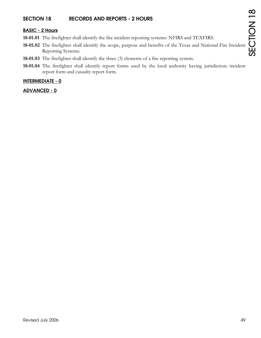# **SECTION 18 RECORDS AND REPORTS - 2 HOURS**

# **BASIC - 2 Hours**

- **18-01.01** The firefighter shall identify the fire incident reporting systems: NFIRS and TEXFIRS.
- **18-01.02** The firefighter shall identify the scope, purpose and benefits of the Texas and National Fire Incident Reporting Systems.
- **18-01.03** The firefighter shall identify the three (3) elements of a fire reporting system.
- **18-01.04** The firefighter shall identify report forms used by the local authority having jurisdiction: incident report form and casualty report form.

### **INTERMEDIATE - 0**

### **ADVANCED - 0**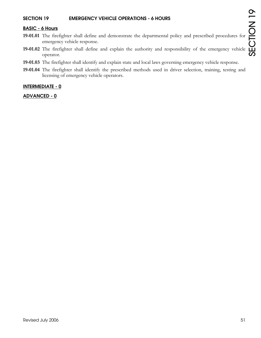## **SECTION 19 EMERGENCY VEHICLE OPERATIONS - 6 HOURS**

### **BASIC - 6 Hours**

- **19-01.01** The firefighter shall define and demonstrate the departmental policy and prescribed procedures for emergency vehicle response.
- **19-01.02** The firefighter shall define and explain the authority and responsibility of the emergency vehicle operator.
- **19-01.03** The firefighter shall identify and explain state and local laws governing emergency vehicle response.
- **19-01.04** The firefighter shall identify the prescribed methods used in driver selection, training, testing and licensing of emergency vehicle operators.

#### **INTERMEDIATE - 0**

#### **ADVANCED - 0**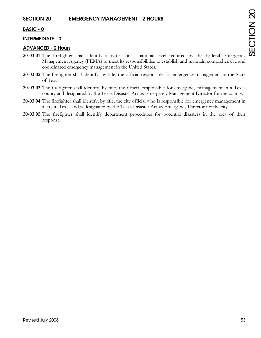# **BASIC - 0**

# **INTERMEDIATE - 0**

## **ADVANCED - 2 Hours**

- **20-03.01** The firefighter shall identify activities on a national level required by the Federal Emergency Management Agency (FEMA) to meet its responsibilities to establish and maintain comprehensive and coordinated emergency management in the United States.
- **20-03.02** The firefighter shall identify, by title, the official responsible for emergency management in the State of Texas.
- **20-03.03** The firefighter shall identify, by title, the official responsible for emergency management in a Texas county and designated by the Texas Disaster Act as Emergency Management Director for the county.
- **20-03.04** The firefighter shall identify, by title, the city official who is responsible for emergency management in a city in Texas and is designated by the Texas Disaster Act as Emergency Director for the city.
- **20-03.05** The firefighter shall identify department procedures for potential disasters in the area of their response.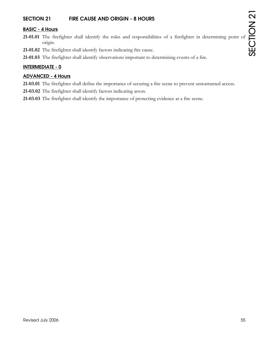# **SECTION 21 FIRE CAUSE AND ORIGIN - 8 HOURS**

### **BASIC - 4 Hours**

- **21-01.01** The firefighter shall identify the roles and responsibilities of a firefighter in determining point of origin.
- **21-01.02** The firefighter shall identify factors indicating fire cause.
- **21-01.03** The firefighter shall identify observations important to determining events of a fire.

### **INTERMEDIATE - 0**

### **ADVANCED - 4 Hours**

- **21-03.01** The firefighter shall define the importance of securing a fire scene to prevent unwarranted access.
- **21-03.02** The firefighter shall identify factors indicating arson.
- **21-03.03** The firefighter shall identify the importance of protecting evidence at a fire scene.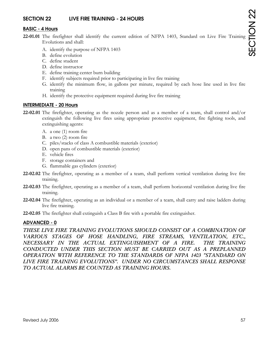# **SECTION 22 LIVE FIRE TRAINING - 24 HOURS**

### **BASIC - 4 Hours**

- **22-01.01** The firefighter shall identify the current edition of NFPA 1403, Standard on Live Fire Training Evolutions and shall:
	- A. identify the purpose of NFPA 1403
	- B. define evolution
	- C. define student
	- D. define instructor
	- E. define training center burn building
	- F. identify subjects required prior to participating in live fire training
	- G. identify the minimum flow, in gallons per minute, required by each hose line used in live fire training
	- H. identify the protective equipment required during live fire training

#### **INTERMEDIATE - 20 Hours**

- **22-02.01** The firefighter, operating as the nozzle person and as a member of a team, shall control and/or extinguish the following live fires using appropriate protective equipment, fire fighting tools, and extinguishing agents:
	- A. a one (1) room fire
	- B. a two (2) room fire
	- C. piles/stacks of class A combustible materials (exterior)
	- D. open pans of combustible materials (exterior)
	- E. vehicle fires
	- F. storage containers and
	- G. flammable gas cylinders (exterior)
- **22-02.02** The firefighter, operating as a member of a team, shall perform vertical ventilation during live fire training.
- **22-02.03** The firefighter, operating as a member of a team, shall perform horizontal ventilation during live fire training.
- **22-02.04** The firefighter, operating as an individual or a member of a team, shall carry and raise ladders during live fire training.
- **22-02.05** The firefighter shall extinguish a Class B fire with a portable fire extinguisher.

### **ADVANCED - 0**

THESE LIVE FIRE TRAINING EVOLUTIONS SHOULD CONSIST OF A COMBINATION OF *VARIOUS STAGES OF HOSE HANDLING, FIRE STREAMS, VENTILATION, ETC., NECESSARY IN THE ACTUAL EXTINGUISHMENT OF A FIRE. THE TRAINING CONDUCTED UNDER THIS SECTION MUST BE CARRIED OUT AS A PREPLANNED OPERATION WITH REFERENCE TO THE STANDARDS OF NFPA 1403 "STANDARD ON LIVE FIRE TRAINING EVOLUTIONS". UNDER NO CIRCUMSTANCES SHALL RESPONSE TO ACTUAL ALARMS BE COUNTED AS TRAINING HOURS.*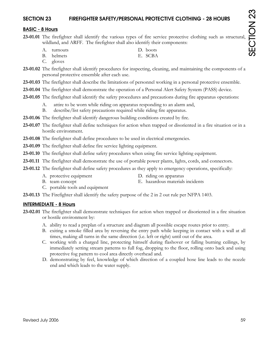# **SECTION 23 FIREFIGHTER SAFETY/PERSONAL PROTECTIVE CLOTHING - 28 HOURS**

# **BASIC - 8 Hours**

- **23-01.01** The firefighter shall identify the various types of fire service protective clothing such as structural, wildland, and ARFF. The firefighter shall also identify their components:
	- A. turnouts D. boots
		-
	- B. helmets E. SCBA
	- C. gloves
- **23-01.02** The firefighter shall identify procedures for inspecting, cleaning, and maintaining the components of a personal protective ensemble after each use.
- **23-01.03** The firefighter shall describe the limitations of personnel working in a personal protective ensemble.
- **23-01.04** The firefighter shall demonstrate the operation of a Personal Alert Safety System (PASS) device.
- **23-01.05** The firefighter shall identify the safety procedures and precautions during fire apparatus operations:
	- A. attire to be worn while riding on apparatus responding to an alarm and,
	- B. describe/list safety precautions required while riding fire apparatus.
- **23-01.06** The firefighter shall identify dangerous building conditions created by fire.
- **23-01.07** The firefighter shall define techniques for action when trapped or disoriented in a fire situation or in a hostile environment.
- **23-01.08** The firefighter shall define procedures to be used in electrical emergencies.
- **23-01.09** The firefighter shall define fire service lighting equipment.
- **23-01.10** The firefighter shall define safety procedures when using fire service lighting equipment.
- **23-01.11** The firefighter shall demonstrate the use of portable power plants, lights, cords, and connectors.
- **23-01.12** The firefighter shall define safety procedures as they apply to emergency operations, specifically:
	- A. protective equipment D. riding on apparatus
- - B. team concept E. hazardous materials incidents
- - C. portable tools and equipment
- **23-01.13** The Firefighter shall identify the safety purpose of the 2 in 2 out rule per NFPA 1403.

# **INTERMEDIATE - 8 Hours**

- **23-02.01** The firefighter shall demonstrate techniques for action when trapped or disoriented in a fire situation or hostile environment by:
	- A. ability to read a preplan of a structure and diagram all possible escape routes prior to entry.
	- B. exiting a smoke filled area by reversing the entry path while keeping in contact with a wall at all times, making all turns in the same direction (i.e. left or right) until out of the area.
	- C. working with a charged line, protecting himself during flashover or falling burning ceilings, by immediately setting stream patterns to full fog, dropping to the floor, rolling onto back and using protective fog pattern to cool area directly overhead and.
	- D. demonstrating by feel, knowledge of which direction of a coupled hose line leads to the nozzle end and which leads to the water supply.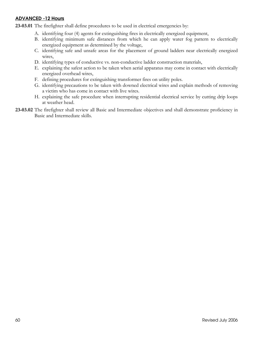# **ADVANCED -12 Hours**

23-03.01 The firefighter shall define procedures to be used in electrical emergencies by:

- A. identifying four (4) agents for extinguishing fires in electrically energized equipment,
- B. identifying minimum safe distances from which he can apply water fog pattern to electrically energized equipment as determined by the voltage,
- C. identifying safe and unsafe areas for the placement of ground ladders near electrically energized wires,
- D. identifying types of conductive vs. non-conductive ladder construction materials,
- E. explaining the safest action to be taken when aerial apparatus may come in contact with electrically energized overhead wires,
- F. defining procedures for extinguishing transformer fires on utility poles.
- G. identifying precautions to be taken with downed electrical wires and explain methods of removing a victim who has come in contact with live wires.
- H. explaining the safe procedure when interrupting residential electrical service by cutting drip loops at weather head.
- **23-03.02** The firefighter shall review all Basic and Intermediate objectives and shall demonstrate proficiency in Basic and Intermediate skills.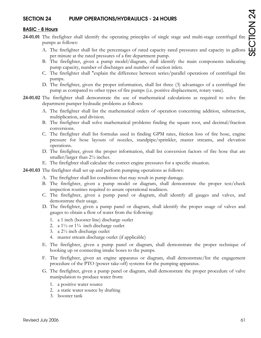# **SECTION 24 PUMP OPERATIONS/HYDRAULICS - 24 HOURS**

### **BASIC - 8 Hours**

- **24-01.01** The firefighter shall identify the operating principles of single stage and multi-stage centrifugal fire pumps as follows:
	- A. The firefighter shall list the percentages of rated capacity rated pressures and capacity in gallons per minute at the rated pressures of a fire department pump.
	- B. The firefighter, given a pump model/diagram, shall identify the main components indicating pump capacity, number of discharges and number of suction inlets.
	- C. The firefighter shall "explain the difference between series/parallel operations of centrifugal fire pumps.
	- D. The firefighter, given the proper information, shall list three (3) advantages of a centrifugal fire pump as compared to other types of fire pumps (i.e. positive displacement, rotary vane).
- **24-01.02** The firefighter shall demonstrate the use of mathematical calculations as required to solve fire department pumper hydraulic problems as follows:
	- A. The firefighter shall list the mathematical orders of operation concerning addition, subtraction, multiplication, and division.
	- B. The firefighter shall solve mathematical problems finding the square root, and decimal/fraction conversions.
	- C. The firefighter shall list formulas used in finding GPM rates, friction loss of fire hose, engine pressure for hose layouts of nozzles, standpipe/sprinkler, master streams, and elevation operations.
	- D. The firefighter, given the proper information, shall list conversion factors of fire hose that are smaller/larger than  $2\frac{1}{2}$  inches.
	- E. The firefighter shall calculate the correct engine pressures for a specific situation.

**24-01.03** The firefighter shall set up and perform pumping operations as follows:

- A. The firefighter shall list conditions that may result in pump damage.
- B. The firefighter, given a pump model or diagram, shall demonstrate the proper test/check inspection routines required to assure operational readiness.
- C. The firefighter, given a pump panel or diagram, shall identify all gauges and valves, and demonstrate their usage.
- D. The firefighter, given a pump panel or diagram, shall identify the proper usage of valves and gauges to obtain a flow of water from the following:
	- 1. a 1 inch (booster line) discharge outlet
	- 2. a  $1\frac{1}{2}$  or  $1\frac{3}{4}$  inch discharge outlet
	- 3. a 2½ inch discharge outlet
	- 4. master stream discharge outlet (if applicable)
- E. The firefighter, given a pump panel or diagram, shall demonstrate the proper technique of hooking up or connecting intake hoses to the pumps.
- F. The firefighter, given an engine apparatus or diagram, shall demonstrate/list the engagement procedure of the PTO (power take-off) systems for the pumping apparatus.
- G. The firefighter, given a pump panel or diagram, shall demonstrate the proper procedure of valve manipulation to produce water from:
	- 1. a positive water source
	- 2. a static water source by drafting
	- 3. booster tank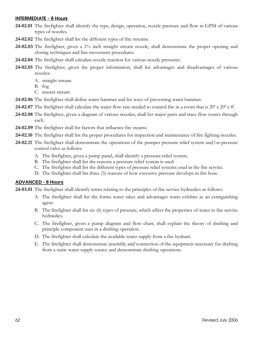### **INTERMEDIATE - 8 Hours**

- **24-02.01** The firefighter shall identify the type, design, operation, nozzle pressure and flow in GPM of various types of nozzles.
- **24-02.02** The firefighter shall list the different types of fire streams.
- **24-02.03** The firefighter, given a 2½ inch straight stream nozzle, shall demonstrate the proper opening and closing techniques and line movement procedures.
- **24-02.04** The firefighter shall calculate nozzle reaction for various nozzle pressures.
- **24-02.05** The firefighter, given the proper information, shall list advantages and disadvantages of various nozzles:
	- A. straight stream
	- B. fog
	- C. master stream
- **24-02.06** The firefighter shall define water hammer and list ways of preventing water hammer.
- **24-02.07** The firefighter shall calculate the water flow rate needed to control fire in a room that is 20' x 20' x 8'.
- **24-02.08** The firefighter, given a diagram of various nozzles, shall list major parts and trace flow routes through each.
- **24-02.09** The firefighter shall list factors that influence fire steams.
- **24-02.10** The firefighter shall list the proper procedures for inspection and maintenance of fire fighting nozzles.
- **24-02.11** The firefighter shall demonstrate the operations of the pumper pressure relief system and/or pressure control valve as follows:
	- A. The firefighter, given a pump panel, shall identify a pressure relief system.
	- B. The firefighter shall list the reasons a pressure relief system is used.
	- C. The firefighter shall list the different types of pressure relief systems used in the fire service.
	- D. The firefighter shall list three (3) reasons of how excessive pressure develops in fire hose.

### **ADVANCED - 8 Hours**

**24-03.01** The firefighter shall identify terms relating to the principles of fire service hydraulics as follows:

- A. The firefighter shall list the forms water takes and advantages water exhibits as an extinguishing agent.
- B. The firefighter shall list six (6) types of pressure, which affect the properties of water in fire service hydraulics.
- C. The firefighter, given a pump diagram and flow chart, shall explain the theory of drafting and principle component uses in a drafting operation.
- D. The firefighter shall calculate the available water supply from a fire hydrant.
- E. The firefighter shall demonstrate assembly and connection of the equipment necessary for drafting from a static water supply source and demonstrate drafting operations.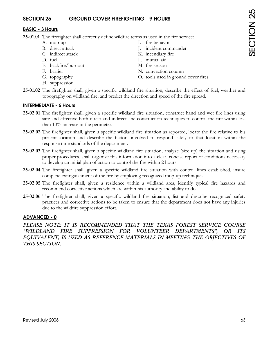# **SECTION 25 GROUND COVER FIREFIGHTING - 9 HOURS**

## **BASIC - 3 Hours**

**25-01.01** The firefighter shall correctly define wildfire terms as used in the fire service:

- 
- 
- 
- 
- E. backfire/burnout M. fire season
- 
- 
- H. suppression
- A. mop-up I. fire behavor
- B. direct attack J. incident commander
- C. indirect attack K. incendiary fire
- D. fuel L. mutual aid
	-
- F. barrier N. convection column
- G. topography O. tools used in ground cover fires
- **25-01.02** The firefighter shall, given a specific wildland fire situation, describe the effect of fuel, weather and topography on wildland fire, and predict the direction and speed of the fire spread.

## **INTERMEDIATE - 6 Hours**

- **25-02.01** The firefighter shall, given a specific wildland fire situation, construct hand and wet fire lines using safe and effective both direct and indirect line construction techniques to control the fire within less than 10% increase in the perimeter.
- **25-02.02** The firefighter shall, given a specific wildland fire situation as reported, locate the fire relative to his present location and describe the factors involved to respond safely to that location within the response time standards of the department.
- **25-02.03** The firefighter shall, given a specific wildland fire situation, analyze (size up) the situation and using proper procedures, shall organize this information into a clear, concise report of conditions necessary to develop an initial plan of action to control the fire within 2 hours.
- **25-02.04** The firefighter shall, given a specific wildland fire situation with control lines established, insure complete extinguishment of the fire by employing recognized mop-up techniques.
- **25-02.05** The firefighter shall, given a residence within a wildland area, identify typical fire hazards and recommend corrective actions which are within his authority and ability to do.
- **25-02.06** The firefighter shall, given a specific wildland fire situation, list and describe recognized safety practices and corrective actions to be taken to ensure that the department does not have any injuries due to the wildfire suppression effort.

### **ADVANCED - 0**

PLEASE NOTE: IT IS RECOMMENDED THAT THE TEXAS FOREST SERVICE COURSE *"WILDLAND FIRE SUPPRESSION FOR VOLUNTEER DEPARTMENTS", OR ITS EQUIVALENT, IS USED AS REFERENCE MATERIALS IN MEETING THE OBJECTIVES OF THIS SECTION.*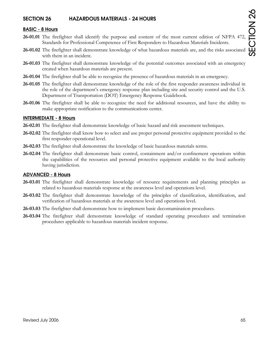# **SECTION 26 HAZARDOUS MATERIALS - 24 HOURS**

#### **BASIC - 8 Hours**

- **26-01.01** The firefighter shall identify the purpose and content of the most current edition of NFPA 472, Standards for Professional Competence of First Responders to Hazardous Materials Incidents.
- **26-01.02** The firefighter shall demonstrate knowledge of what hazardous materials are, and the risks associated with them in an incident.
- **26-01.03** The firefighter shall demonstrate knowledge of the potential outcomes associated with an emergency created when hazardous materials are present.
- **26-01.04** The firefighter shall be able to recognize the presence of hazardous materials in an emergency.
- **26-01.05** The firefighter shall demonstrate knowledge of the role of the first responder awareness individual in the role of the department's emergency response plan including site and security control and the U.S. Department of Transportation (DOT) Emergency Response Guidebook.
- **26-01.06** The firefighter shall be able to recognize the need for additional resources, and have the ability to make appropriate notification to the communications center.

#### **INTERMEDIATE - 8 Hours**

- **26-02.01** The firefighter shall demonstrate knowledge of basic hazard and risk assessment techniques.
- **26-02.02** The firefighter shall know how to select and use proper personal protective equipment provided to the first responder operational level.
- **26-02.03** The firefighter shall demonstrate the knowledge of basic hazardous materials terms.
- **26-02.04** The firefighter shall demonstrate basic control, containment and/or confinement operations within the capabilities of the resources and personal protective equipment available to the local authority having jurisdiction.

### **ADVANCED - 8 Hours**

- **26-03.01** The firefighter shall demonstrate knowledge of resource requirements and planning principles as related to hazardous materials response at the awareness level and operations level.
- **26-03.02** The firefighter shall demonstrate knowledge of the principles of classification, identification, and verification of hazardous materials at the awareness level and operations level.
- **26-03.03** The firefighter shall demonstrate how to implement basic decontamination procedures.
- **26-03.04** The firefighter shall demonstrate knowledge of standard operating procedures and termination procedures applicable to hazardous materials incident response.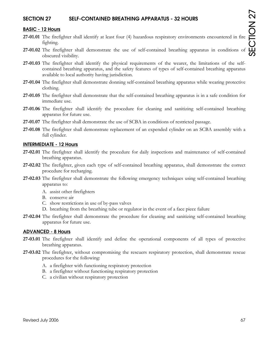# **SECTION 27 SELF-CONTAINED BREATHING APPARATUS - 32 HOURS**

#### **BASIC - 12 Hours**

- **27-01.01** The firefighter shall identify at least four (4) hazardous respiratory environments encountered in fire fighting.
- **27-01.02** The firefighter shall demonstrate the use of self-contained breathing apparatus in conditions of obscured visibility.
- **27-01.03** The firefighter shall identify the physical requirements of the wearer, the limitations of the selfcontained breathing apparatus, and the safety features of types of self-contained breathing apparatus available to local authority having jurisdiction.
- **27-01.04** The firefighter shall demonstrate donning self-contained breathing apparatus while wearing protective clothing.
- **27-01.05** The firefighter shall demonstrate that the self-contained breathing apparatus is in a safe condition for immediate use.
- **27-01.06** The firefighter shall identify the procedure for cleaning and sanitizing self-contained breathing apparatus for future use.
- **27-01.07** The firefighter shall demonstrate the use of SCBA in conditions of restricted passage.
- **27-01.08** The firefighter shall demonstrate replacement of an expended cylinder on an SCBA assembly with a full cylinder.

#### **INTERMEDIATE - 12 Hours**

- **27-02.01** The firefighter shall identify the procedure for daily inspections and maintenance of self-contained breathing apparatus.
- **27-02.02** The firefighter, given each type of self-contained breathing apparatus, shall demonstrate the correct procedure for recharging.
- **27-02.03** The firefighter shall demonstrate the following emergency techniques using self-contained breathing apparatus to:
	- A. assist other firefighters
	- B. conserve air
	- C. show restrictions in use of by-pass valves
	- D. breathing from the breathing tube or regulator in the event of a face piece failure
- **27-02.04** The firefighter shall demonstrate the procedure for cleaning and sanitizing self-contained breathing apparatus for future use.

#### **ADVANCED - 8 Hours**

- **27-03.01** The firefighter shall identify and define the operational components of all types of protective breathing apparatus.
- **27-03.02** The firefighter, without compromising the rescuers respiratory protection, shall demonstrate rescue procedures for the following:
	- A. a firefighter with functioning respiratory protection
	- B. a firefighter without functioning respiratory protection
	- C. a civilian without respiratory protection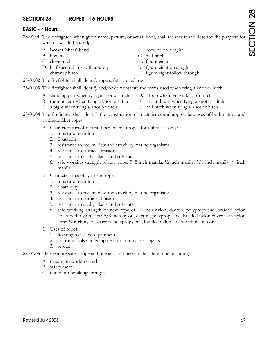# **SECTION 28 ROPES - 16 HOURS**

# **BASIC - 4 Hours**

**28-01.01** The firefighter, when given name, picture, or actual knot, shall identify it and describe the purpose for which it would be used;

- A. Becket (sheet) bend F. bowline on a bight
- 
- 
- D. half sheep shank with a safety I. figure-eight on a bight
- 
- 
- B. bowline G. half hitch
- C. clove hitch H. figure-eight
	-
- E. chimney hitch J. figure-eight follow through
- **28-01.02** The firefighter shall identify rope safety procedures.
- **28-01.03** The firefighter shall identify and/or demonstrate the terms used when tying a knot or hitch:
	- A. standing part when tying a knot or hitch D. a loop when tying a knot or hitch
		-
	- B. running part when tying a knot or hitch E. a round turn when tying a knot or hitch
	- C. a bight when tying a knot or hitch F. half hitch when tying a knot or hitch
- **28-01.04** The firefighter shall identify the construction characteristics and appropriate uses of both natural and synthetic fiber ropes:
	- A. Characteristics of natural fiber (manila) ropes for utility use only:
		- 1. moisture retention
		- 2. floatability
		- 3. resistance to rot, mildew and attack by marine organisms
		- 4. resistance to surface abrasion
		- 5. resistance to acids, alkalis and solvents
		- 6. safe working strength of new rope:  $3/8$  inch manila,  $\frac{1}{2}$  inch manila,  $\frac{5}{8}$  inch manila,  $\frac{3}{4}$  inch manila
	- B. Characteristics of synthetic ropes:
		- 1. moisture retention
		- 2. floatability
		- 3. resistance to rot, mildew and attack by marine organisms
		- 4. resistance to surface abrasion
		- 5. resistance to acids, alkalis and solvents
		- 6. safe working strength of new rope of: ½ inch nylon, dacron, polypropylene, braided nylon cover with nylon core; 5/8 inch nylon, dacron, polypropylene, braided nylon cover with nylon core; ¾ inch nylon, dacron, polypropylene, braided nylon cover with nylon core
	- C. Uses of ropes:
		- 1. hoisting tools and equipment
		- 2. securing tools and equipment to immovable objects
		- 3. rescue
- **28-01.05** Define a life safety rope and one and two person life safety rope including:
	- A. maximum working load
	- B. safety factor
	- C. minimum breaking strength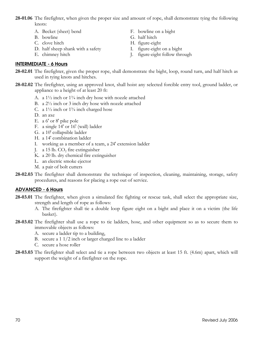**28-01.06** The firefighter, when given the proper size and amount of rope, shall demonstrate tying the following knots:

- A. Becket (sheet) bend F. bowline on a bight
- 
- C. clove hitch H. figure-eight
- D. half sheep shank with a safety I. figure-eight on a bight
- 

- B. bowline G. half hitch
	-
	-
- E. chimney hitch J. figure-eight follow through

# **INTERMEDIATE - 6 Hours**

- **28-02.01** The firefighter, given the proper rope, shall demonstrate the bight, loop, round turn, and half hitch as used in tying knots and hitches.
- **28-02.02** The firefighter, using an approved knot, shall hoist any selected forcible entry tool, ground ladder, or appliance to a height of at least 20 ft:
	- A. a 1½ inch or 1¾ inch dry hose with nozzle attached
	- B. a 2½ inch or 3 inch dry hose with nozzle attached
	- C. a  $1\frac{1}{2}$  inch or  $1\frac{3}{4}$  inch charged hose
	- D. an axe
	- E. a 6' or 8' pike pole
	- F. a single 14' or 16' (wall) ladder
	- G. a 10' collapsible ladder
	- H. a 14' combination ladder
	- I. working as a member of a team, a 24' extension ladder
	- J. a 15 lb.  $CO<sub>2</sub>$  fire extinguisher
	- K. a 20 lb. dry chemical fire extinguisher
	- L. an electric smoke ejector
	- M. a pair of bolt cutters
- **28-02.03** The firefighter shall demonstrate the technique of inspection, cleaning, maintaining, storage, safety procedures, and reasons for placing a rope out of service.

## **ADVANCED - 6 Hours**

- **28-03.01** The firefighter, when given a simulated fire fighting or rescue task, shall select the appropriate size, strength and length of rope as follows:
	- A. The firefighter shall tie a double loop figure eight on a bight and place it on a victim (the life basket).
- **28-03.02** The firefighter shall use a rope to tie ladders, hose, and other equipment so as to secure them to immovable objects as follows:
	- A. secure a ladder tip to a building,
	- B. secure a 1 1/2 inch or larger charged line to a ladder
	- C. secure a hose roller
- **28-03.03** The firefighter shall select and tie a rope between two objects at least 15 ft. (4.6m) apart, which will support the weight of a firefighter on the rope.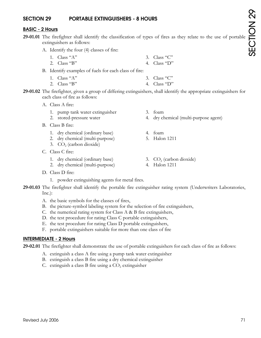# **SECTION 29 PORTABLE EXTINGUISHERS - 8 HOURS**

## **BASIC - 2 Hours**

- **29-01.01** The firefighter shall identify the classification of types of fires as they relate to the use of portable extinguishers as follows:
	- A. Identify the four (4) classes of fire:
		- 1. Class "A"  $3.$  Class "C"
		- 2. Class "B" 4. Class "D"
	- B. Identify examples of fuels for each class of fire:
		- 1. Class "A" 3. Class "C"
		- 2. Class "B" 4. Class "D"
- **29-01.02** The firefighter, given a group of differing extinguishers, shall identify the appropriate extinguishers for each class of fire as follows:
	- A. Class A fire:
		- 1. pump tank water extinguisher 3. foam
		- 2. stored-pressure water 4. dry chemical (multi-purpose agent)
	- B. Class B fire:
		- 1. dry chemical (ordinary base) 4. foam
		- 2. dry chemical (multi-purpose) 5. Halon 1211
		- 3.  $CO<sub>2</sub>$  (carbon dioxide)
	- C. Class C fire:
		- 1. dry chemical (ordinary base) 3.  $CO<sub>2</sub>$  (carbon dioxide)<br>2. drv chemical (multi-purpose) 4. Halon 1211
		- 2. dry chemical (multi-purpose)
	- D. Class D fire:
		- 1. powder extinguishing agents for metal fires.
- **29-01.03** The firefighter shall identify the portable fire extinguisher rating system (Underwriters Laboratories, Inc.):
	- A. the basic symbols for the classes of fires,
	- B. the picture-symbol labeling system for the selection of fire extinguishers,
	- C. the numerical rating system for Class A & B fire extinguishers,
	- D. the test procedure for rating Class C portable extinguishers,
	- E. the test procedure for rating Class D portable extinguishers,
	- F. portable extinguishers suitable for more than one class of fire

## **INTERMEDIATE - 2 Hours**

**29-02.01** The firefighter shall demonstrate the use of portable extinguishers for each class of fire as follows:

- A. extinguish a class A fire using a pump tank water extinguisher
- B. extinguish a class B fire using a dry chemical extinguisher
- C. extinguish a class B fire using a  $CO<sub>2</sub>$  extinguisher

SECTION 29SECTION 29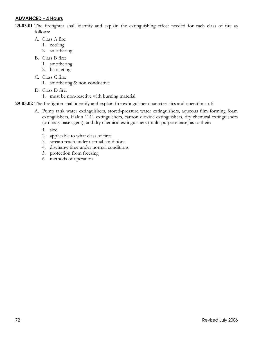# **ADVANCED - 4 Hours**

**29-03.01** The firefighter shall identify and explain the extinguishing effect needed for each class of fire as follows:

- A. Class A fire:
	- 1. cooling
	- 2. smothering
- B. Class B fire:
	- 1. smothering
	- 2. blanketing
- C. Class C fire:
	- 1. smothering & non-conductive
- D. Class D fire:
	- 1. must be non-reactive with burning material

**29-03.02** The firefighter shall identify and explain fire extinguisher characteristics and operations of:

- A. Pump tank water extinguishers, stored-pressure water extinguishers, aqueous film forming foam extinguishers, Halon 1211 extinguishers, carbon dioxide extinguishers, dry chemical extinguishers (ordinary base agent), and dry chemical extinguishers (multi-purpose base) as to their:
	- 1. size
	- 2. applicable to what class of fires
	- 3. stream reach under normal conditions
	- 4. discharge time under normal conditions
	- 5. protection from freezing
	- 6. methods of operation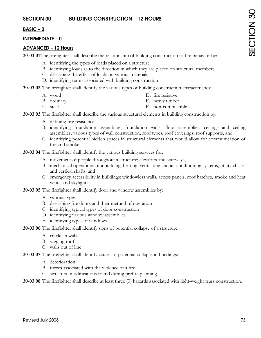# **BASIC – 0**

#### **INTERMEDIATE – 0**

#### **ADVANCED – 12 Hours**

**30-03.01** The firefighter shall describe the relationship of building construction to fire behavior by:

- A. identifying the types of loads placed on a structure
- B. identifying loads as to the direction in which they are placed on structural members
- C. describing the effect of loads on various materials
- D. identifying terms associated with building construction

**30-03.02** The firefighter shall identify the various types of building construction characteristics:

- 
- B. ordinary E. heavy timber
- A. wood D. fire resistive
	-
- C. steel F. non-combustible

**30-03.03** The firefighter shall describe the various structural elements in building construction by:

- A. defining fire resistance,
- B. identifying foundation assemblies, foundation walls, floor assemblies, ceilings and ceiling assemblies, various types of wall construction, roof types, roof coverings, roof supports, and
- C. identifying potential hidden spaces in structural elements that would allow for communication of fire and smoke

**30-03.04** The firefighter shall identify the various building services for:

- A. movement of people throughout a structure; elevators and stairways,
- B. mechanical operations of a building; heating, ventilating and air conditioning systems, utility chases and vertical shafts, and
- C. emergency accessibility in buildings; windowless walls, access panels, roof hatches, smoke and heat vents, and skylights.
- **30-03.05** The firefighter shall identify door and window assemblies by:
	- A. various types
	- B. describing fire doors and their method of operation
	- C identifying typical types of door construction
	- D. identifying various window assemblies
	- E. identifying types of windows
- **30-03.06** The firefighter shall identify signs of potential collapse of a structure:
	- A. cracks in walls
	- B. sagging roof
	- C. walls out of line
- **30-03.07** The firefighter shall identify causes of potential collapse in buildings:
	- A. deterioration
	- B. forces associated with the violence of a fire
	- C. structural modifications found during prefire planning

**30-03.08** The firefighter shall describe at least three (3) hazards associated with light-weight truss construction.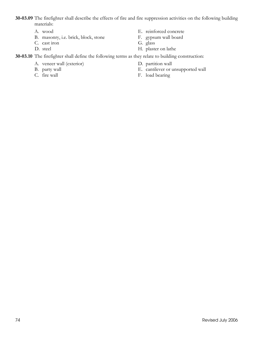**30-03.09** The firefighter shall describe the effects of fire and fire suppression activities on the following building materials:

- 
- B. masonry, i.e. brick, block, stone F. gypsum wall board
- C. cast iron G. glass
- 
- A. wood E. reinforced concrete
	-
	-
- D. steel H. plaster on lathe

## **30-03.10** The firefighter shall define the following terms as they relate to building construction:

- A. veneer wall (exterior) D. partition wall
- 
- 
- 
- B. party wall **E.** cantilever or unsupported wall
- C. fire wall F. load bearing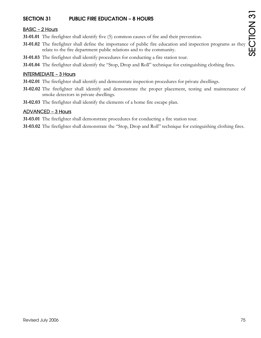# **SECTION 31 PUBLIC FIRE EDUCATION – 8 HOURS**

# BASIC – 2 Hours

- **31-01.01** The firefighter shall identify five (5) common causes of fire and their prevention.
- **31-01.02** The firefighter shall define the importance of public fire education and inspection programs as they relate to the fire department public relations and to the community.
- **31-01.03** The firefighter shall identify procedures for conducting a fire station tour.
- **31-01.04** The firefighter shall identify the "Stop, Drop and Roll" technique for extinguishing clothing fires.

## INTERMEDIATE – 3 Hours

- **31-02.01** The firefighter shall identify and demonstrate inspection procedures for private dwellings.
- **31-02.02** The firefighter shall identify and demonstrate the proper placement, testing and maintenance of smoke detectors in private dwellings.
- **31-02.03** The firefighter shall identify the elements of a home fire escape plan.

# ADVANCED – 3 Hours

**31-03.01** The firefighter shall demonstrate procedures for conducting a fire station tour.

**31-03.02** The firefighter shall demonstrate the "Stop, Drop and Roll" technique for extinguishing clothing fires.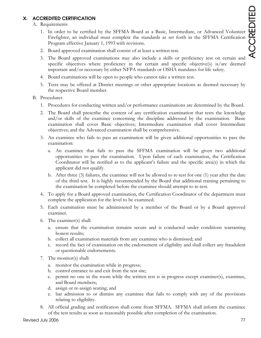# **X. ACCREDITED CERTIFICATION**

# A. Requirements

- 1. In order to be certified by the SFFMA Board as a Basic, Intermediate, or Advanced Volunteer Firefighter, an individual must complete the standards as set forth in the SFFMA Certification Program effective January 1, 1993 with revisions.
- 2. Board approved examination shall consist of at least a written test.
- 3. The Board approved examinations may also include a skills or proficiency test on certain and specific objectives where proficiency in the certain and specific objective(s) is/are deemed important and/or necessary by either NFPA standards or OSHA mandates for life safety.
- 4. Board examinations will be open to people who cannot take a written test.
- 5. Tests may be offered at District meetings or other appropriate locations as deemed necessary by the respective Board member.

# B. Procedures

- 1. Procedures for conducting written and/or performance examinations are determined by the Board.
- 2. The Board shall prescribe the content of any certification examination that tests the knowledge and/or skills of the examinee concerning the discipline addressed by the examination. Basic examination shall cover Basic objectives; Intermediate examination shall cover Intermediate objectives; and the Advanced examination shall be comprehensive.
- 3. An examinee who fails to pass an examination will be given additional opportunities to pass the examination:
	- a. An examinee that fails to pass the SFFMA examination will be given two additional opportunities to pass the examination. Upon failure of each examination, the Certification Coordinator will be notified as to the applicant's failure and the specific area(s) in which the applicant did not qualify.
	- b. After three (3) failures, the examinee will not be allowed to re-test for one (1) year after the date of the third test. It is highly recommended by the Board that additional training pertaining to the examination be completed before the examinee should attempt to re-test.
- 4. To apply for a Board approved examination, the Certification Coordinator of the department must complete the application for the level to be examined.
- 5. Each examination must be administered by a member of the Board or by a Board approved examiner.
- 6. The examiner(s) shall:
	- a. ensure that the examination remains secure and is conducted under conditions warranting honest results;
	- b. collect all examination materials from any examinee who is dismissed; and
	- c. record the fact of examination on the endorsement of eligibility and shall collect any fraudulent or questionable endorsements.
- 7. The monitor(s) shall:
	- a. monitor the examination while in progress;
	- b. control entrance to and exit from the test site;
	- c. permit no one in the room while the written test is in progress except examiner(s), examinee, and Board members;
	- d. assign or re-assign seating; and
	- e. bar admission to or dismiss any examinee that fails to comply with any of the provisions relating to eligibility.
- 8. All official grading and notification shall come from SFFMA. SFFMA shall inform the examinee of the test results as soon as reasonably possible after completion of the examination.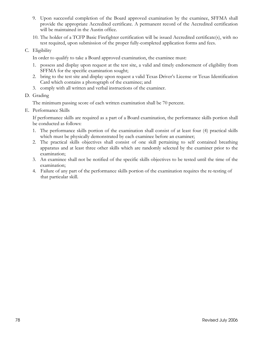- 9. Upon successful completion of the Board approved examination by the examinee, SFFMA shall provide the appropriate Accredited certificate. A permanent record of the Accredited certification will be maintained in the Austin office.
- 10. The holder of a TCFP Basic Firefighter certification will be issued Accredited certificate(s), with no test required, upon submission of the proper fully-completed application forms and fees.
- C. Eligibility

In order to qualify to take a Board approved examination, the examinee must:

- 1. possess and display upon request at the test site, a valid and timely endorsement of eligibility from SFFMA for the specific examination sought;
- 2. bring to the test site and display upon request a valid Texas Driver's License or Texas Identification Card which contains a photograph of the examinee; and
- 3. comply with all written and verbal instructions of the examiner.
- D. Grading

The minimum passing score of each written examination shall be 70 percent.

E. Performance Skills

If performance skills are required as a part of a Board examination, the performance skills portion shall be conducted as follows:

- 1. The performance skills portion of the examination shall consist of at least four (4) practical skills which must be physically demonstrated by each examinee before an examiner;
- 2. The practical skills objectives shall consist of one skill pertaining to self contained breathing apparatus and at least three other skills which are randomly selected by the examiner prior to the examination;
- 3. An examinee shall not be notified of the specific skills objectives to be tested until the time of the examination;
- 4. Failure of any part of the performance skills portion of the examination requires the re-testing of that particular skill.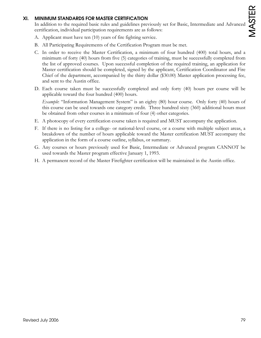# **XI. MINIMUM STANDARDS FOR MASTER CERTIFICATION**

In addition to the required basic rules and guidelines previously set for Basic, Intermediate and Advanced certification, individual participation requirements are as follows:

- A. Applicant must have ten (10) years of fire fighting service.
- B. All Participating Requirements of the Certification Program must be met.
- C. In order to receive the Master Certification, a minimum of four hundred (400) total hours, and a minimum of forty (40) hours from five (5) categories of training, must be successfully completed from the list of approved courses. Upon successful completion of the required training, an application for Master certification should be completed, signed by the applicant, Certification Coordinator and Fire Chief of the department, accompanied by the thirty dollar (\$30.00) Master application processing fee, and sent to the Austin office.
- D. Each course taken must be successfully completed and only forty (40) hours per course will be applicable toward the four hundred (400) hours.

*Example*: "Information Management System" is an eighty (80) hour course. Only forty (40) hours of this course can be used towards one category credit. Three hundred sixty (360) additional hours must be obtained from other courses in a minimum of four (4) other categories.

- E. A photocopy of every certification course taken is required and MUST accompany the application.
- F. If there is no listing for a college- or national-level course, or a course with multiple subject areas, a breakdown of the number of hours applicable toward the Master certification MUST accompany the application in the form of a course outline, syllabus, or summary.
- G. Any courses or hours previously used for Basic, Intermediate or Advanced program CANNOT be used towards the Master program effective January 1, 1993.
- H. A permanent record of the Master Firefighter certification will be maintained in the Austin office.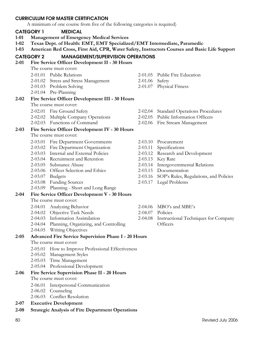#### **CURRICULUM FOR MASTER CERTIFICATION**

A minimum of one course from five of the following categories is required)

# **CATEGORY 1 MEDICAL**

- **1-01 Management of Emergency Medical Services**
- **1-02 Texas Dept. of Health: EMT, EMT Specialized/EMT Intermediate, Paramedic**
- **1-03 American Red Cross, First Aid, CPR, Water Safety, Instructors Courses and Basic Life Support**

# **CATEGORY 2 MANAGEMENT/SUPERVISION OPERATIONS**

- **2-01 Fire Service Officer Development II 30 Hours** 
	- The course must cover:

| 2-01.01 Public Relations             |                  | 2-01.05 Public Fire Education |
|--------------------------------------|------------------|-------------------------------|
| 2-01.02 Stress and Stress Management | $2-01.06$ Safety |                               |
| 2-01.03 Problem Solving              |                  | 2-01.07 Physical Fitness      |

2-01.04 Pre-Planning

#### **2-02 Fire Service Officer Development III - 30 Hours**

The course must cover:

- 
- 2-02.02 Multiple Company Operations 2-02.05 Public Information Officers
- 2-02.03 Functions of Command 2-02.06 Fire Stream Management
- 2-02.01 Fire Ground Safety 2-02.04 Standard Operations Procedures
	-
	-

# **2-03 Fire Service Officer Development IV - 30 Hours**

The course must cover:

- 2-03.01 Fire Department Governments 2-03.10 Procurement
- 2-03.02 Fire Department Organization 2-03.11 Specifications
- 2-03.03 Internal and External Policies 2-03.12 Research and Development
- 2-03.04 Recruitment and Retention 2-03.13 Key Rate
- 
- 2-03.06 Officer Selection and Ethics 2-03.15 Documentation
- 
- 2-03.08 Funding Sources 2-03.17 Legal Problems
- 2-03.09 Planning Short and Long Range

# **2-04 Fire Service Officer Development V - 30 Hours**

The course must cover:

| 2-04.01 Analyzing Behavior       | 2-04.06 MBO's and MBE's                      |
|----------------------------------|----------------------------------------------|
| 2-04.02 Objective Task Needs     | $2-04.07$ Policies                           |
| 2-04.03 Information Assimilation | 2-04.08 Instructional Techniques for Company |

- 2-04.04 Planning, Organizing, and Controlling Officers
- 2-04.05 Writing Objectives

# **2-05 Advanced Fire Service Supervision Phase I - 20 Hours**

The course must cover:

- 2-05.01 How to Improve Professional Effectiveness
- 2-05.02 Management Styles
- 2-05.03 Time Management
- 2-05.04 Professional Development

# **2-06 Fire Service Supervision Phase II - 20 Hours**

The course must cover:

- 2-06.01 Interpersonal Communication
- 2-06.02 Counseling
- 2-06.03 Conflict Resolution
- **2-07 Executive Development**
- **2-08 Strategic Analysis of Fire Department Operations**
- 80 Revised July 2006
	-
- 2-03.05 Substance Abuse 2-03.14 Intergovernmental Relations 2-03.07 Budgets 2-03.16 SOP's Rules, Regulations, and Policies
	-
	-
	-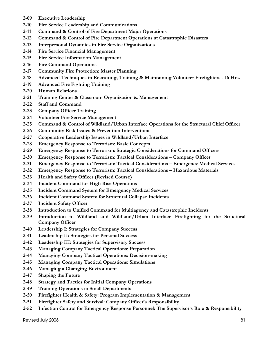- **2-09 Executive Leadership**
- **2-10 Fire Service Leadership and Communications**
- **2-11 Command & Control of Fire Department Major Operations**
- **2-12 Command & Control of Fire Department Operations at Catastrophic Disasters**
- **2-13 Interpersonal Dynamics in Fire Service Organizations**
- **2-14 Fire Service Financial Management**
- **2-15 Fire Service Information Management**
- **2-16 Fire Command Operations**
- **2-17 Community Fire Protection: Master Planning**
- **2-18 Advanced Techniques in Recruiting, Training & Maintaining Volunteer Firefighters 16 Hrs.**
- **2-19 Advanced Fire Fighting Training**
- **2-20 Human Relations**
- **2-21 Training Center & Classroom Organization & Management**
- **2-22 Staff and Command**
- **2-23 Company Officer Training**
- **2-24 Volunteer Fire Service Management**
- **2-25 Command & Control of Wildland/Urban Interface Operations for the Structural Chief Officer**
- **2-26 Community Risk Issues & Prevention Interventions**
- **2-27 Cooperative Leadership Issues in Wildland/Urban Interface**
- **2-28 Emergency Response to Terrorism: Basic Concepts**
- **2-29 Emergency Response to Terrorism: Strategic Considerations for Command Officers**
- **2-30 Emergency Response to Terrorism: Tactical Considerations Company Officer**
- **2-31 Emergency Response to Terrorism: Tactical Considerations Emergency Medical Services**
- **2-32 Emergency Response to Terrorism: Tactical Considerations Hazardous Materials**
- **2-33 Health and Safety Officer (Revised Course)**
- **2-34 Incident Command for High Rise Operations**
- **2-35 Incident Command System for Emergency Medical Services**
- **2-36 Incident Command System for Structural Collapse Incidents**
- **2-37 Incident Safety Officer**
- **2-38 Introduction to Unified Command for Multiagency and Catastrophic Incidents**
- **2-39 Introduction to Wildland and Wildland/Urban Interface Firefighting for the Structural Company Officer**
- **2-40 Leadership I: Strategies for Company Success**
- **2-41 Leadership II: Strategies for Personal Success**
- **2-42 Leadership III: Strategies for Supervisory Success**
- **2-43 Managing Company Tactical Operations: Preparation**
- **2-44 Managing Company Tactical Operations: Decision-making**
- **2-45 Managing Company Tactical Operations: Simulations**
- **2-46 Managing a Changing Environment**
- **2-47 Shaping the Future**
- **2-48 Strategy and Tactics for Initial Company Operations**
- **2-49 Training Operations in Small Departments**
- **2-50 Firefighter Health & Safety: Program Implementation & Management**
- **2-51 Firefighter Safety and Survival: Company Officer's Responsibility**
- **2-52 Infection Control for Emergency Response Personnel: The Supervisor's Role & Responsibility**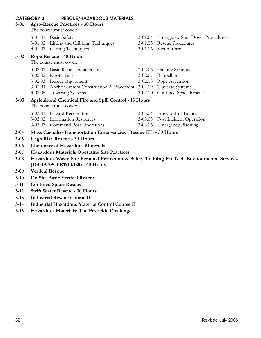| <b>RESCUE/HAZARDOUS MATERIALS</b><br><b>CATEGORY 3</b><br><b>Agro-Rescue Practices - 30 Hours</b><br>$3 - 01$<br>The course must cover: |                                                                                                                             |                                                                                                                                                                                             |                            |                                                                                                 |
|-----------------------------------------------------------------------------------------------------------------------------------------|-----------------------------------------------------------------------------------------------------------------------------|---------------------------------------------------------------------------------------------------------------------------------------------------------------------------------------------|----------------------------|-------------------------------------------------------------------------------------------------|
|                                                                                                                                         |                                                                                                                             | 3-01.01 Basic Safety<br>3-01.02 Lifting and Cribbing Techniques<br>3-01.03 Cutting Techniques                                                                                               |                            | 3-01.04 Emergency Shut Down Procedures<br>3-01.05 Rescue Procedures<br>3-01.06 Victim Care      |
| $3 - 02$                                                                                                                                |                                                                                                                             | Rope Rescue - 40 Hours<br>The course must cover:                                                                                                                                            |                            |                                                                                                 |
|                                                                                                                                         |                                                                                                                             | 3-02.01 Basic Rope Characteristics<br>3-02.02 Knot Tying<br>3-02.03 Rescue Equipment<br>3-02.04 Anchor System Construction & Placement 3-02.09 Traverse Systems<br>3-02.05 Lowering Systems | $3 - 02.07$<br>$3 - 02.10$ | 3-02.06 Hauling Systems<br>Rappelling<br>3-02.08 Rope Ascension<br><b>Confined Space Rescue</b> |
| $3 - 03$                                                                                                                                | <b>Agricultural Chemical Fire and Spill Control - 15 Hours</b><br>The course must cover:                                    |                                                                                                                                                                                             |                            |                                                                                                 |
|                                                                                                                                         |                                                                                                                             | 3-03.01 Hazard Recognition<br>3-03.02 Information Resources<br>3-03.03 Command Post Operations                                                                                              |                            | 3-03.04 Fire Control Tactics<br>3-03.05 Post Incident Operation<br>3-03.06 Emergency Planning   |
| $3 - 04$                                                                                                                                |                                                                                                                             | Mass Casualty-Transportation Emergencies (Rescue III) - 30 Hours                                                                                                                            |                            |                                                                                                 |
| $3 - 05$                                                                                                                                | <b>High Rise Rescue - 30 Hours</b>                                                                                          |                                                                                                                                                                                             |                            |                                                                                                 |
| $3 - 06$                                                                                                                                | <b>Chemistry of Hazardous Materials</b>                                                                                     |                                                                                                                                                                                             |                            |                                                                                                 |
| $3 - 07$                                                                                                                                | <b>Hazardous Materials Operating Site Practices</b>                                                                         |                                                                                                                                                                                             |                            |                                                                                                 |
| $3 - 08$                                                                                                                                | Hazardous Waste Site Personal Protection & Safety Training EmTech Environmental Services<br>(OSHA 29CFR1910.120) - 40 Hours |                                                                                                                                                                                             |                            |                                                                                                 |
| $3 - 09$                                                                                                                                | <b>Vertical Rescue</b>                                                                                                      |                                                                                                                                                                                             |                            |                                                                                                 |
| $3 - 10$                                                                                                                                |                                                                                                                             | <b>On Site Basic Vertical Rescue</b>                                                                                                                                                        |                            |                                                                                                 |
|                                                                                                                                         |                                                                                                                             |                                                                                                                                                                                             |                            |                                                                                                 |

- **3-11 Confined Space Rescue**
- **3-12 Swift Water Rescue 30 Hours**
- **3-13 Industrial Rescue Course II**
- **3-14 Industrial Hazardous Material Control Course II**
- **3-15 Hazardous Materials: The Pesticide Challenge**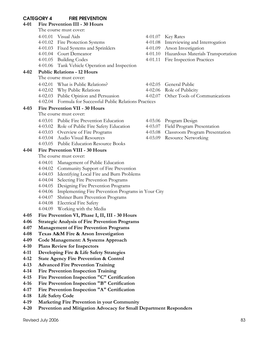# **CATEGORY 4 FIRE PREVENTION**

| 4-01      |                                               | Fire Prevention III - 30 Hours                                                           |  |                                                                              |  |
|-----------|-----------------------------------------------|------------------------------------------------------------------------------------------|--|------------------------------------------------------------------------------|--|
|           |                                               | The course must cover:                                                                   |  |                                                                              |  |
|           |                                               | 4-01.01 Visual Aids                                                                      |  | 4-01.07 Key Rates                                                            |  |
|           |                                               | 4-01.02 Fire Protection Systems                                                          |  | 4-01.08 Interviewing and Interrogation                                       |  |
|           |                                               | 4-01.03 Fixed Systems and Sprinklers                                                     |  | 4-01.09 Arson Investigation                                                  |  |
|           |                                               | 4-01.04 Court Demeanor                                                                   |  | 4-01.10 Hazardous Materials Transportation                                   |  |
|           |                                               | 4-01.05 Building Codes                                                                   |  | 4-01.11 Fire Inspection Practices                                            |  |
|           |                                               | 4-01.06 Tank Vehicle Operation and Inspection                                            |  |                                                                              |  |
| 4-02      |                                               | <b>Public Relations - 12 Hours</b>                                                       |  |                                                                              |  |
|           |                                               | The course must cover:                                                                   |  |                                                                              |  |
|           |                                               | 4-02.01 What is Public Relations?                                                        |  | 4-02.05 General Public                                                       |  |
|           |                                               | 4-02.02 Why Public Relations                                                             |  | 4-02.06 Role of Publicity                                                    |  |
|           |                                               | 4-02.03 Public Opinion and Persuasion                                                    |  | 4-02.07 Other Tools of Communications                                        |  |
|           |                                               | 4-02.04 Formula for Successful Public Relations Practices                                |  |                                                                              |  |
| 4-03      | <b>Fire Prevention VII - 30 Hours</b>         |                                                                                          |  |                                                                              |  |
|           |                                               | The course must cover:                                                                   |  |                                                                              |  |
|           |                                               | 4-03.01 Public Fire Prevention Education<br>4-03.02 Role of Public Fire Safety Education |  | 4-03.06 Program Design                                                       |  |
|           |                                               | 4-03.03 Overview of Fire Programs                                                        |  | 4-03.07 Field Program Presentation<br>4-03.08 Classroom Program Presentation |  |
|           |                                               | 4-03.04 Audio Visual Resources                                                           |  | 4-03.09 Resource Networking                                                  |  |
|           |                                               | 4-03.05 Public Education Resource Books                                                  |  |                                                                              |  |
| 4-04      |                                               | <b>Fire Prevention VIII - 30 Hours</b>                                                   |  |                                                                              |  |
|           |                                               | The course must cover:                                                                   |  |                                                                              |  |
|           |                                               | 4-04.01 Management of Public Education                                                   |  |                                                                              |  |
|           |                                               | 4-04.02 Community Support of Fire Prevention                                             |  |                                                                              |  |
|           |                                               | 4-04.03 Identifying Local Fire and Burn Problems                                         |  |                                                                              |  |
|           | 4-04.04                                       | Selecting Fire Prevention Programs                                                       |  |                                                                              |  |
|           |                                               | 4-04.05 Designing Fire Prevention Programs                                               |  |                                                                              |  |
|           |                                               | 4-04.06 Implementing Fire Prevention Programs in Your City                               |  |                                                                              |  |
|           | 4-04.07                                       | Shriner Burn Prevention Programs                                                         |  |                                                                              |  |
|           |                                               | 4-04.08 Electrical Fire Safety                                                           |  |                                                                              |  |
|           |                                               | 4-04.09 Working with the Media                                                           |  |                                                                              |  |
| $4 - 0.5$ |                                               | Fire Prevention VI, Phase I, II, III - 30 Hours                                          |  |                                                                              |  |
| 4-06      |                                               | <b>Strategic Analysis of Fire Prevention Programs</b>                                    |  |                                                                              |  |
| 4-07      | <b>Management of Fire Prevention Programs</b> |                                                                                          |  |                                                                              |  |
| 4-08      |                                               | Texas A&M Fire & Arson Investigation                                                     |  |                                                                              |  |
| 4-09      |                                               | Code Management: A Systems Approach                                                      |  |                                                                              |  |
| 4-10      |                                               | <b>Plans Review for Inspectors</b>                                                       |  |                                                                              |  |
| 4-11      |                                               | Developing Fire & Life Safety Strategies                                                 |  |                                                                              |  |
| 4-12      |                                               | <b>State Agency Fire Prevention &amp; Control</b>                                        |  |                                                                              |  |
| $4 - 13$  |                                               | <b>Advanced Fire Prevention Training</b>                                                 |  |                                                                              |  |
| 4-14      |                                               | <b>Fire Prevention Inspection Training</b>                                               |  |                                                                              |  |
| 4-15      |                                               | Fire Prevention Inspection "C" Certification                                             |  |                                                                              |  |
| 4-16      |                                               | Fire Prevention Inspection "B" Certification                                             |  |                                                                              |  |
| 4-17      |                                               | Fire Prevention Inspection "A" Certification                                             |  |                                                                              |  |

- **4-18 Life Safety Code**
- **4-19 Marketing Fire Prevention in your Community**
- Prevention and Mitigation Advocacy for Small Department Responders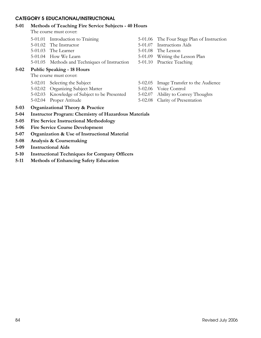## **CATEGORY 5 EDUCATIONAL/INSTRUCTIONAL**

#### **5-01 Methods of Teaching Fire Service Subjects - 40 Hours**

The course must cover:

- 
- 5-01.02 The Instructor 5-01.07 Instructions Aids
- 5-01.03 The Learner 5-01.08 The Lesson
- 
- 5-01.05 Methods and Techniques of Instruction 5-01.10 Practice Teaching

# **5-02 Public Speaking - 18 Hours**

The course must cover:

- 
- 5-02.02 Organizing Subject Matter 5-02.06 Voice Control
- 5-02.03 Knowledge of Subject to be Presented 5-02.07 Ability to Convey Thoughts
- 
- 5-01.01 Introduction to Training 5-01.06 The Four Stage Plan of Instruction
	-
	-
- 5-01.04 How We Learn 5-01.09 Writing the Lesson Plan
	-
- 5-02.01 Selecting the Subject 5-02.05 Image Transfer to the Audience
	-
	-
- 5-02.04 Proper Attitude 5-02.08 Clarity of Presentation
- **5-03 Organizational Theory & Practice**
- **5-04 Instructor Program: Chemistry of Hazardous Materials**
- **5-05 Fire Service Instructional Methodology**
- **5-06 Fire Service Course Development**
- **5-07 Organization & Use of Instructional Material**
- **5-08 Analysis & Coursemaking**
- **5-09 Instructional Aids**
- **5-10 Instructional Techniques for Company Officers**
- **5-11 Methods of Enhancing Safety Education**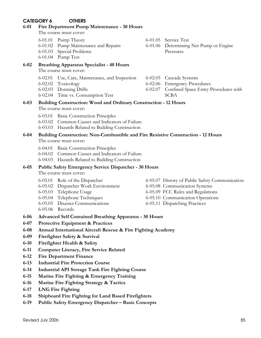# **CATEGORY 6 OTHERS**

#### **6-01 Fire Department Pump Maintenance - 30 Hours**

The course must cover:

- 6-01.01 Pump Theory 6-01.05 Service Test
- 6-01.02 Pump Maintenance and Repairs 6-01.06 Determining Net Pump or Engine
- 6-01.03 Special Problems Pressures
- 6-01.04 Pump Test

# **6-02 Breathing Apparatus Specialist - 40 Hours**

The course must cover:

- 6-02.01 Use, Care, Maintenance, and Inspection 6-02.05 Cascade Systems
- 
- 
- 6-02.04 Time vs. Consumption Test SCBA
- -

- 6-02.02 Toxicology 6-02.06 Emergency Procedures
- 6-02.03 Donning Drills 6-02.07 Confined Space Entry Procedures with

#### **6-03 Building Construction: Wood and Ordinary Construction - 12 Hours**  The course must cover:

- 6-03.01 Basic Construction Principles
- 6-03.02 Common Causes and Indicators of Failure
- 6-03.03 Hazards Related to Building Construction

#### **6-04 Building Construction: Non-Combustible and Fire Resistive Construction - 12 Hours**  The course must cover:

- 6-04.01 Basic Construction Principles
- 6-04.02 Common Causes and Indicators of Failure
- 6-04.03 Hazards Related to Building Construction

# **6-05 Public Safety Emergency Service Dispatcher - 30 Hours**

The course must cover:

- 
- 6-05.02 Dispatcher Work Environment 6-05.08 Communication Systems
- 
- 
- 6-05.05 Disaster Communications 6-05.11 Dispatching Practices
- 6-05.06 Records

## **6-06 Advanced Self Contained Breathing Apparatus - 30 Hours**

- **6-07 Protective Equipment & Practices**
- **6-08 Annual International Aircraft Rescue & Fire Fighting Academy**
- **6-09 Firefighter Safety & Survival**
- **6-10 Firefighter Health & Safety**
- **6-11 Computer Literacy, Fire Service Related**
- **6-12 Fire Department Finance**
- **6-13 Industrial Fire Protection Course**
- **6-14 Industrial API Storage Tank Fire Fighting Course**
- **6-15 Marine Fire Fighting & Emergency Training**
- **6-16 Marine Fire Fighting Strategy & Tactics**
- **6-17 LNG Fire Fighting**
- **6-18 Shipboard Fire Fighting for Land Based Firefighters**
- **6-19 Public Safety Emergency Dispatcher Basic Concepts**
- 
- 
- 
- 6-05.01 Role of the Dispatcher 6-05.07 History of Public Safety Communication
	-
- 6-05.03 Telephone Usage 6-05.09 FCC Rules and Regulations
- 6-05.04 Telephone Techniques 6-05.10 Communication Operations
	-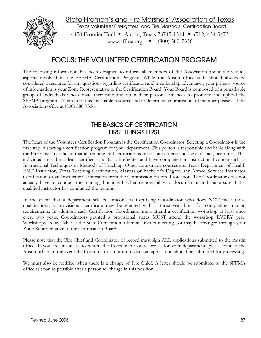

State Firemen's and Fire Marshals' Association of Texas Texas Volunteer Firefighters' and Fire Marshals' Certification Board 4450 Frontier Trail • Austin, Texas 78745-1514 • (512) 454-3473 www.sffma.org (800) 580-7336

# FOCUS: THE VOLUNTEER CERTIFICATION PROGRAM

The following information has been designed to inform all members of the Association about the various aspects involved in the SFFMA Certification Program. While the Austin office staff should always be considered a resource for any questions regarding certification and membership advantages, your primary source of information is your Zone Representative to the Certification Board. Your Board is composed of a remarkable group of individuals who donate their time and often their personal finances to promote and uphold the SFFMA program. To tap in to this invaluable resource and to determine your area board member please call the Association office at (800) 580-7336.

# THE BASICS OF CERTIFICATION FIRST THINGS FIRST

The heart of the Volunteer Certification Program is the Certification Coordinator. Selecting a Coordinator is the first step in starting a certification program for your department. This person is responsible and liable along with the Fire Chief to validate that all training and certifications meet state criteria and have, in fact, been met. This individual must be at least certified as a Basic firefighter and have completed an instructional course such as Instructional Techniques or Methods of Teaching. Other comparable courses are: Texas Department of Health EMT Instructor, Texas Teaching Certification, Masters or Bachelor's Degree, any Armed Services Instructor Certification or an Instructor Certification from the Commission on Fire Protection. The Coordinator does not actually have to conduct the training, but it is his/her responsibility to document it and make sure that a qualified instructor has conducted the training.

In the event that a department selects someone as Certifying Coordinator who does NOT meet those qualifications, a provisional certificate may be granted with a three year limit for completing training requirements. In addition, each Certification Coordinator must attend a certification workshop at least once every two years. Coordinators granted a provisional status MUST attend the workshop EVERY year. Workshops are available at the State Convention, often at District meetings, or may be arranged through your Zone Representative to the Certification Board.

Please note that the Fire Chief and Coordinator of record must sign ALL applications submitted to the Austin office. If you are unsure as to whom the Coordinator of record is for your department, please contact the Austin office. In the event the Coordinator is not up-to-date, an application should be submitted for processing.

We must also be notified when there is a change of Fire Chief. A letter should be submitted to the SFFMA office as soon as possible after a personnel change in this position.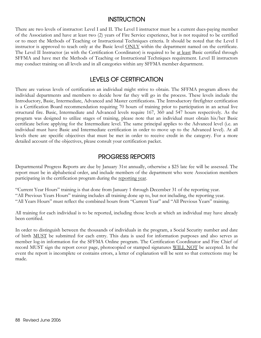# **INSTRUCTION**

There are two levels of instructor: Level I and II. The Level I instructor must be a current dues-paying member of the Association and have at least two (2) years of Fire Service experience, but is not required to be certified or to meet the Methods of Teaching or Instructional Techniques criteria. It should be noted that the Level I instructor is approved to teach only at the Basic level ONLY within the department named on the certificate. The Level II Instructor (as with the Certification Coordinator) is required to be at least Basic certified through SFFMA and have met the Methods of Teaching or Instructional Techniques requirement. Level II instructors may conduct training on all levels and in all categories within any SFFMA member department.

# LEVELS OF CERTIFICATION

There are various levels of certification an individual might strive to obtain. The SFFMA program allows the individual departments and members to decide how far they will go in the process. These levels include the Introductory, Basic, Intermediate, Advanced and Master certifications. The Introductory firefighter certification is a Certification Board recommendation requiring 70 hours of training prior to participation in an actual live structural fire. Basic, Intermediate and Advanced levels require 167, 360 and 547 hours respectively. As the program was designed to utilize stages of training, please note that an individual must obtain his/her Basic certificate before applying for the Intermediate level. The same principal applies to the Advanced level (i.e. an individual must have Basic and Intermediate certification in order to move up to the Advanced level). At all levels there are specific objectives that must be met in order to receive credit in the category. For a more detailed account of the objectives, please consult your certification packet.

# PROGRESS REPORTS

Departmental Progress Reports are due by January 31st annually, otherwise a \$25 late fee will be assessed. The report must be in alphabetical order, and include members of the department who were Association members participating in the certification program during the reporting year.

"Current Year Hours" training is that done from January 1 through December 31 of the reporting year. "All Previous Years Hours" training includes all training done up to, but not including, the reporting year. "All Years Hours" must reflect the combined hours from "Current Year" and "All Previous Years" training.

All training for each individual is to be reported, including those levels at which an individual may have already been certified.

In order to distinguish between the thousands of individuals in the program, a Social Security number and date of birth MUST be submitted for each entry. This data is used for information purposes and also serves as member log-in information for the SFFMA Online program. The Certification Coordinator and Fire Chief of record MUST sign the report cover page, photocopied or stamped signatures WILL NOT be accepted. In the event the report is incomplete or contains errors, a letter of explanation will be sent so that corrections may be made.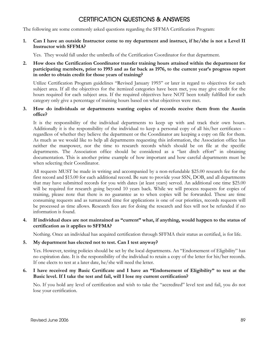# CERTIFICATION QUESTIONS & ANSWERS

The following are some commonly asked questions regarding the SFFMA Certification Program:

**1. Can I have an outside Instructor come to my department and instruct, if he/she is not a Level II Instructor with SFFMA?** 

Yes. They would fall under the umbrella of the Certification Coordinator for that department.

**2. How does the Certification Coordinator transfer training hours attained within the department for participating members, prior to 1993 and as far back as 1976, to the current year's progress report in order to obtain credit for those years of training?** 

Utilize Certification Program guidelines "Revised January 1993" or later in regard to objectives for each subject area. If all the objectives for the itemized categories have been met, you may give credit for the hours required for each subject area. If the required objectives have NOT been totally fulfilled for each category only give a percentage of training hours based on what objectives were met.

**3. How do individuals or departments wanting copies of records receive them from the Austin office?** 

It is the responsibility of the individual departments to keep up with and track their own hours. Additionally it is the responsibility of the individual to keep a personal copy of all his/her certificates – regardless of whether they believe the department or the Coordinator are keeping a copy on file for them. As much as we would like to help all departments requesting this information, the Association office has neither the manpower, nor the time to research records which should be on file at the specific departments. The Association office should be considered as a "last ditch effort" in obtaining documentation. This is another prime example of how important and how careful departments must be when selecting their Coordinator.

All requests MUST be made in writing and accompanied by a non-refundable \$25.00 research fee for the first record and \$15.00 for each additional record. Be sure to provide your SSN, DOB, and all departments that may have submitted records for you with dates (at least years) served. An additional one time \$25.00 will be required for research going beyond 10 years back. While we will process requests for copies of training, please note that there is no guarantee as to when copies will be forwarded. These are time consuming requests and as turnaround time for applications is one of our priorities, records requests will be processed as time allows. Research fees are for doing the research and fees will not be refunded if no information is found.

**4. If individual dues are not maintained as "current" what, if anything, would happen to the status of certification as it applies to SFFMA?** 

Nothing. Once an individual has acquired certification through SFFMA their status as certified, is for life.

#### **5. My department has elected not to test. Can I test anyway?**

Yes. However, testing policies should be set by the local departments. An "Endorsement of Eligibility" has no expiration date. It is the responsibility of the individual to retain a copy of the letter for his/her records. If one elects to test at a later date, he/she will need the letter.

## **6. I have received my Basic Certificate and I have an "Endorsement of Eligibility" to test at the Basic level. If I take the test and fail, will I lose my current certification?**

No. If you hold any level of certification and wish to take the "accredited" level test and fail, you do not lose your certification.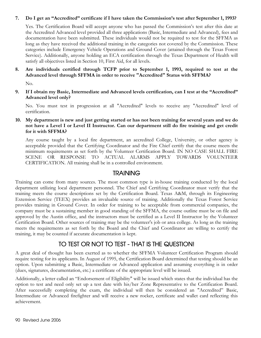## **7. Do I get an "Accredited" certificate if I have taken the Commission's test after September 1, 1993?**

Yes. The Certification Board will accept anyone who has passed the Commission's test after this date at the Accredited Advanced level provided all three applications (Basic, Intermediate and Advanced), fees and documentation have been submitted. These individuals would not be required to test for the SFFMA as long as they have received the additional training in the categories not covered by the Commission. These categories include Emergency Vehicle Operations and Ground Cover (attained through the Texas Forest Service). Additionally, anyone holding an ECA certification through the Texas Department of Health will satisfy all objectives listed in Section 10, First Aid, for all levels.

# **8. Are individuals certified through TCFP prior to September 1, 1993, required to test at the Advanced level through SFFMA in order to receive "Accredited" Status with SFFMA?**

No.

**9. If I obtain my Basic, Intermediate and Advanced levels certification, can I test at the "Accredited" Advanced level only?** 

No. You must test in progression at all "Accredited" levels to receive any "Accredited" level of certification.

# **10. My department is new and just getting started or has not been training for several years and we do not have a Level I or Level II Instructor. Can our department still do fire training and get credit for it with SFFMA?**

Any course taught by a local fire department, an accredited College, University, or other agency is acceptable provided that the Certifying Coordinator and the Fire Chief certify that the course meets the minimum requirements as set forth by the Volunteer Certification Board. IN NO CASE SHALL FIRE SCENE OR RESPONSE TO ACTUAL ALARMS APPLY TOWARDS VOLUNTEER CERTIFICATION. All training shall be in a controlled environment.

# **TRAINING**

Training can come from many sources. The most common type is in-house training conducted by the local department utilizing local department personnel. The Chief and Certifying Coordinator must verify that the training meets the course descriptions set by the Certification Board. Texas A&M, through its Engineering Extension Service (TEEX) provides an invaluable source of training. Additionally the Texas Forest Service provides training in Ground Cover. In order for training to be acceptable from commercial companies, the company must be a sustaining member in good standing of the SFFMA, the course outline must be on file and approved by the Austin office, and the instructors must be certified as a Level II Instructor by the Volunteer Certification Board. Other sources of training may be the volunteer's job or area college. As long as the training meets the requirements as set forth by the Board and the Chief and Coordinator are willing to certify the training, it may be counted if accurate documentation is kept.

# TO TEST OR NOT TO TEST - THAT IS THE QUESTION!

A great deal of thought has been exerted as to whether the SFFMA Volunteer Certification Program should require testing for its applicants. In August of 1995, the Certification Board determined that testing should be an option. Upon submitting a Basic, Intermediate or Advanced application and assuming everything is in order (dues, signatures, documentation, etc.) a certificate of the appropriate level will be issued.

Additionally, a letter called an "Endorsement of Eligibility" will be issued which states that the individual has the option to test and need only set up a test date with his/her Zone Representative to the Certification Board. After successfully completing the exam, the individual will then be considered an "Accredited" Basic, Intermediate or Advanced firefighter and will receive a new rocker, certificate and wallet card reflecting this achievement.